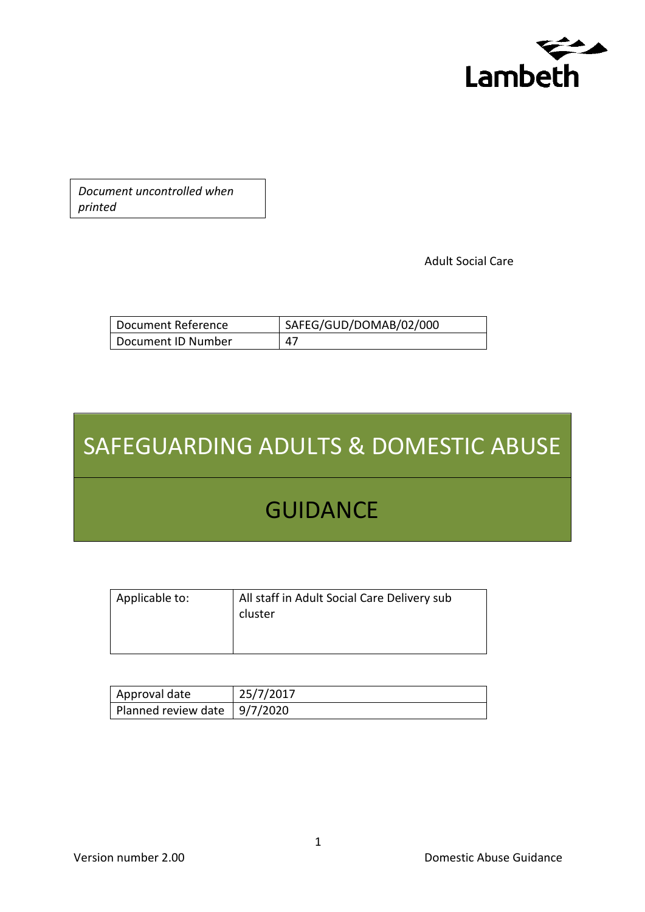

*Document uncontrolled when printed*

Adult Social Care

| Document Reference | SAFEG/GUD/DOMAB/02/000 |
|--------------------|------------------------|
| Document ID Number | 47                     |

# SAFEGUARDING ADULTS & DOMESTIC ABUSE

# **GUIDANCE**

| Applicable to: | All staff in Adult Social Care Delivery sub<br>cluster |
|----------------|--------------------------------------------------------|
|                |                                                        |

| Approval date                  | 25/7/2017 |
|--------------------------------|-----------|
| Planned review date   9/7/2020 |           |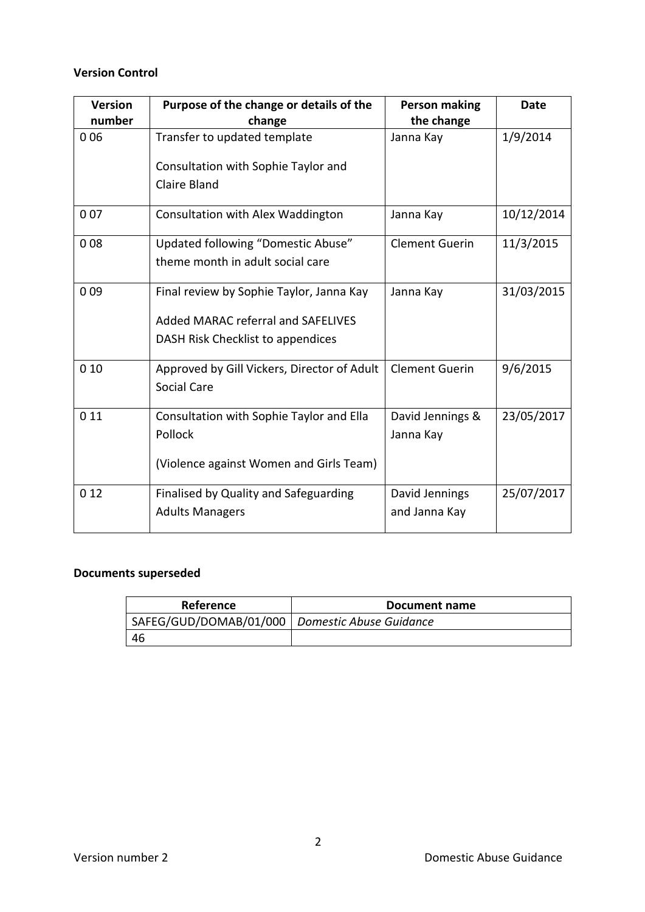#### **Version Control**

| <b>Version</b> | Purpose of the change or details of the     | <b>Person making</b>  | <b>Date</b> |
|----------------|---------------------------------------------|-----------------------|-------------|
| number         | change                                      | the change            |             |
| 006            | Transfer to updated template                | Janna Kay             | 1/9/2014    |
|                | Consultation with Sophie Taylor and         |                       |             |
|                | <b>Claire Bland</b>                         |                       |             |
| 007            | Consultation with Alex Waddington           | Janna Kay             | 10/12/2014  |
| 008            | Updated following "Domestic Abuse"          | <b>Clement Guerin</b> | 11/3/2015   |
|                | theme month in adult social care            |                       |             |
| 009            | Final review by Sophie Taylor, Janna Kay    | Janna Kay             | 31/03/2015  |
|                | Added MARAC referral and SAFELIVES          |                       |             |
|                | DASH Risk Checklist to appendices           |                       |             |
| 010            | Approved by Gill Vickers, Director of Adult | <b>Clement Guerin</b> | 9/6/2015    |
|                | Social Care                                 |                       |             |
| 0 1 1          | Consultation with Sophie Taylor and Ella    | David Jennings &      | 23/05/2017  |
|                | Pollock                                     | Janna Kay             |             |
|                | (Violence against Women and Girls Team)     |                       |             |
| 012            | Finalised by Quality and Safeguarding       | David Jennings        | 25/07/2017  |
|                | <b>Adults Managers</b>                      | and Janna Kay         |             |

## **Documents superseded**

| Reference                                        | Document name |
|--------------------------------------------------|---------------|
| SAFEG/GUD/DOMAB/01/000   Domestic Abuse Guidance |               |
| 46                                               |               |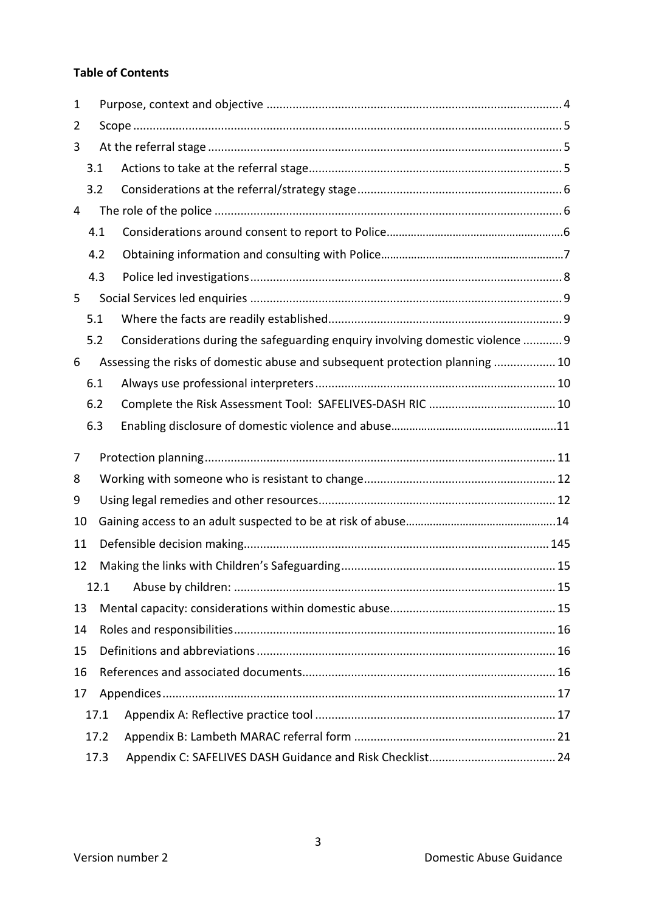#### **Table of Contents**

| 1  |      |      |                                                                               |  |
|----|------|------|-------------------------------------------------------------------------------|--|
| 2  |      |      |                                                                               |  |
| 3  |      |      |                                                                               |  |
|    | 3.1  |      |                                                                               |  |
|    | 3.2  |      |                                                                               |  |
| 4  |      |      |                                                                               |  |
|    | 4.1  |      |                                                                               |  |
|    | 4.2  |      |                                                                               |  |
|    | 4.3  |      |                                                                               |  |
| 5  |      |      |                                                                               |  |
|    | 5.1  |      |                                                                               |  |
|    | 5.2  |      | Considerations during the safeguarding enquiry involving domestic violence  9 |  |
| 6  |      |      | Assessing the risks of domestic abuse and subsequent protection planning  10  |  |
|    | 6.1  |      |                                                                               |  |
|    | 6.2  |      |                                                                               |  |
|    | 6.3  |      |                                                                               |  |
|    |      |      |                                                                               |  |
|    |      |      |                                                                               |  |
| 7  |      |      |                                                                               |  |
| 8  |      |      |                                                                               |  |
| 9  |      |      |                                                                               |  |
| 10 |      |      |                                                                               |  |
| 11 |      |      |                                                                               |  |
| 12 |      |      |                                                                               |  |
|    |      | 12.1 |                                                                               |  |
| 13 |      |      |                                                                               |  |
| 14 |      |      |                                                                               |  |
| 15 |      |      |                                                                               |  |
| 16 |      |      |                                                                               |  |
| 17 |      |      |                                                                               |  |
|    | 17.1 |      |                                                                               |  |
|    | 17.2 |      |                                                                               |  |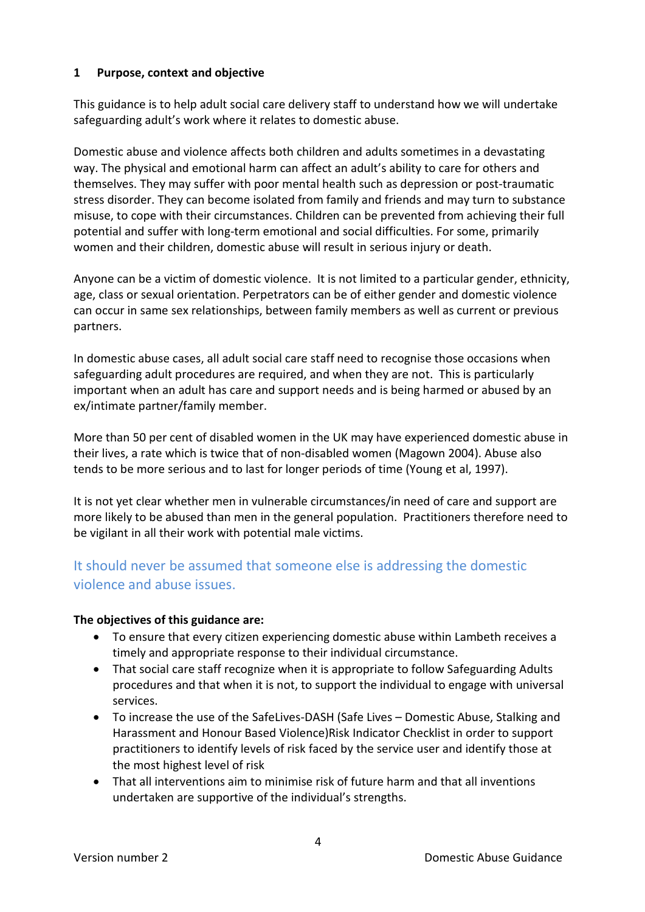#### <span id="page-3-0"></span>**1 Purpose, context and objective**

This guidance is to help adult social care delivery staff to understand how we will undertake safeguarding adult's work where it relates to domestic abuse.

Domestic abuse and violence affects both children and adults sometimes in a devastating way. The physical and emotional harm can affect an adult's ability to care for others and themselves. They may suffer with poor mental health such as depression or post-traumatic stress disorder. They can become isolated from family and friends and may turn to substance misuse, to cope with their circumstances. Children can be prevented from achieving their full potential and suffer with long-term emotional and social difficulties. For some, primarily women and their children, domestic abuse will result in serious injury or death.

Anyone can be a victim of domestic violence. It is not limited to a particular gender, ethnicity, age, class or sexual orientation. Perpetrators can be of either gender and domestic violence can occur in same sex relationships, between family members as well as current or previous partners.

In domestic abuse cases, all adult social care staff need to recognise those occasions when safeguarding adult procedures are required, and when they are not. This is particularly important when an adult has care and support needs and is being harmed or abused by an ex/intimate partner/family member.

More than 50 per cent of disabled women in the UK may have experienced domestic abuse in their lives, a rate which is twice that of non-disabled women (Magown 2004). Abuse also tends to be more serious and to last for longer periods of time (Young et al, 1997).

It is not yet clear whether men in vulnerable circumstances/in need of care and support are more likely to be abused than men in the general population. Practitioners therefore need to be vigilant in all their work with potential male victims.

# It should never be assumed that someone else is addressing the domestic violence and abuse issues.

#### **The objectives of this guidance are:**

- To ensure that every citizen experiencing domestic abuse within Lambeth receives a timely and appropriate response to their individual circumstance.
- That social care staff recognize when it is appropriate to follow Safeguarding Adults procedures and that when it is not, to support the individual to engage with universal services.
- To increase the use of the SafeLives-DASH (Safe Lives Domestic Abuse, Stalking and Harassment and Honour Based Violence)Risk Indicator Checklist in order to support practitioners to identify levels of risk faced by the service user and identify those at the most highest level of risk
- That all interventions aim to minimise risk of future harm and that all inventions undertaken are supportive of the individual's strengths.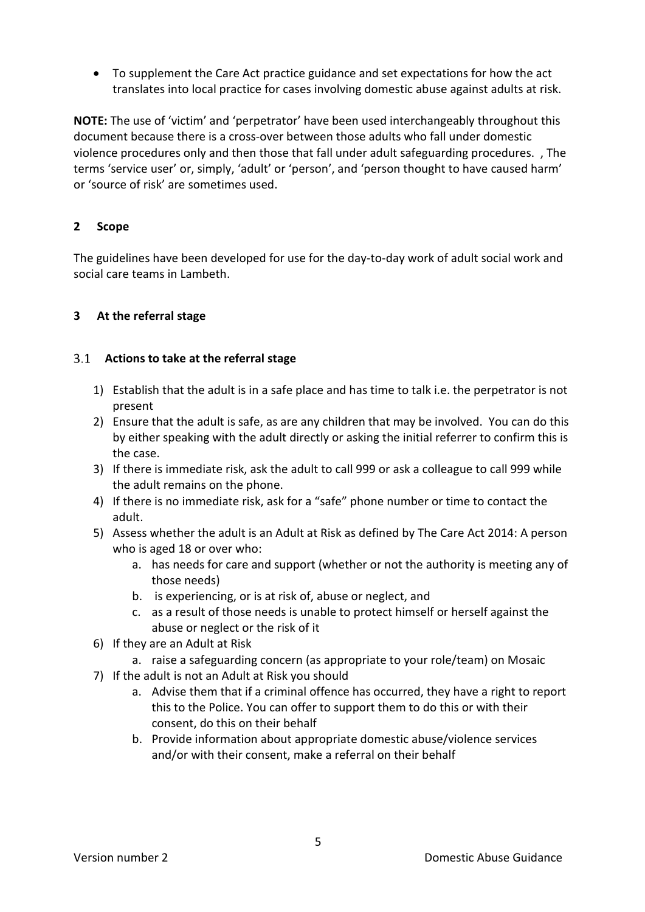• To supplement the Care Act practice guidance and set expectations for how the act translates into local practice for cases involving domestic abuse against adults at risk.

**NOTE:** The use of 'victim' and 'perpetrator' have been used interchangeably throughout this document because there is a cross-over between those adults who fall under domestic violence procedures only and then those that fall under adult safeguarding procedures. , The terms 'service user' or, simply, 'adult' or 'person', and 'person thought to have caused harm' or 'source of risk' are sometimes used.

## <span id="page-4-0"></span>**2 Scope**

The guidelines have been developed for use for the day-to-day work of adult social work and social care teams in Lambeth.

## <span id="page-4-1"></span>**3 At the referral stage**

#### <span id="page-4-2"></span>**Actions to take at the referral stage**

- 1) Establish that the adult is in a safe place and has time to talk i.e. the perpetrator is not present
- 2) Ensure that the adult is safe, as are any children that may be involved. You can do this by either speaking with the adult directly or asking the initial referrer to confirm this is the case.
- 3) If there is immediate risk, ask the adult to call 999 or ask a colleague to call 999 while the adult remains on the phone.
- 4) If there is no immediate risk, ask for a "safe" phone number or time to contact the adult.
- 5) Assess whether the adult is an Adult at Risk as defined by The Care Act 2014: A person who is aged 18 or over who:
	- a. has needs for care and support (whether or not the authority is meeting any of those needs)
	- b. is experiencing, or is at risk of, abuse or neglect, and
	- c. as a result of those needs is unable to protect himself or herself against the abuse or neglect or the risk of it
- 6) If they are an Adult at Risk
	- a. raise a safeguarding concern (as appropriate to your role/team) on Mosaic
- 7) If the adult is not an Adult at Risk you should
	- a. Advise them that if a criminal offence has occurred, they have a right to report this to the Police. You can offer to support them to do this or with their consent, do this on their behalf
	- b. Provide information about appropriate domestic abuse/violence services and/or with their consent, make a referral on their behalf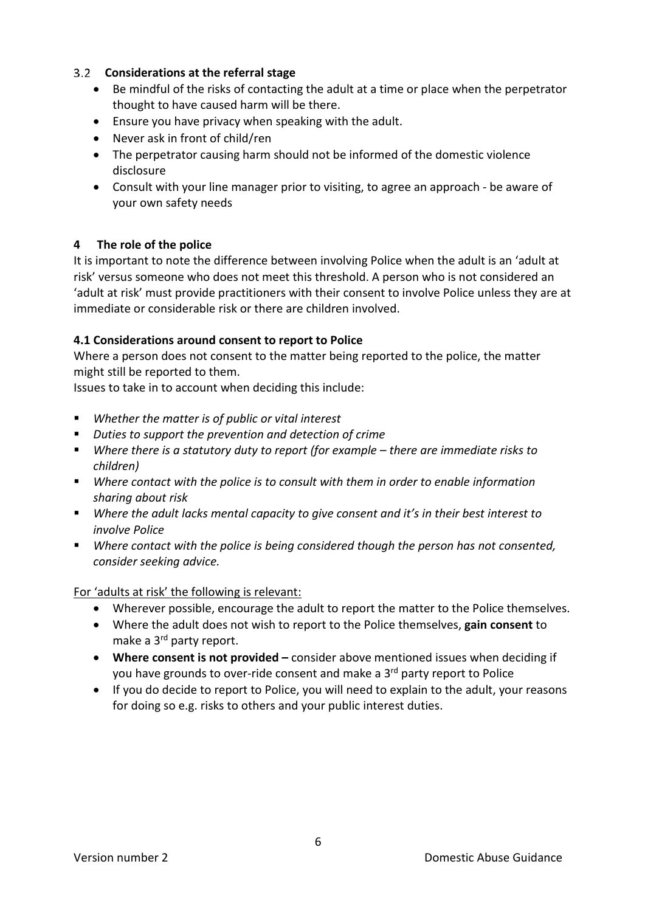# <span id="page-5-0"></span>**Considerations at the referral stage**

- Be mindful of the risks of contacting the adult at a time or place when the perpetrator thought to have caused harm will be there.
- Ensure you have privacy when speaking with the adult.
- Never ask in front of child/ren
- The perpetrator causing harm should not be informed of the domestic violence disclosure
- Consult with your line manager prior to visiting, to agree an approach be aware of your own safety needs

#### <span id="page-5-1"></span>**4 The role of the police**

It is important to note the difference between involving Police when the adult is an 'adult at risk' versus someone who does not meet this threshold. A person who is not considered an 'adult at risk' must provide practitioners with their consent to involve Police unless they are at immediate or considerable risk or there are children involved.

#### **4.1 Considerations around consent to report to Police**

Where a person does not consent to the matter being reported to the police, the matter might still be reported to them.

Issues to take in to account when deciding this include:

- *Whether the matter is of public or vital interest*
- *Duties to support the prevention and detection of crime*
- *Where there is a statutory duty to report (for example – there are immediate risks to children)*
- *Where contact with the police is to consult with them in order to enable information sharing about risk*
- *Where the adult lacks mental capacity to give consent and it's in their best interest to involve Police*
- *Where contact with the police is being considered though the person has not consented, consider seeking advice.*

For 'adults at risk' the following is relevant:

- Wherever possible, encourage the adult to report the matter to the Police themselves.
- Where the adult does not wish to report to the Police themselves, **gain consent** to make a 3<sup>rd</sup> party report.
- **Where consent is not provided –** consider above mentioned issues when deciding if you have grounds to over-ride consent and make a 3<sup>rd</sup> party report to Police
- If you do decide to report to Police, you will need to explain to the adult, your reasons for doing so e.g. risks to others and your public interest duties.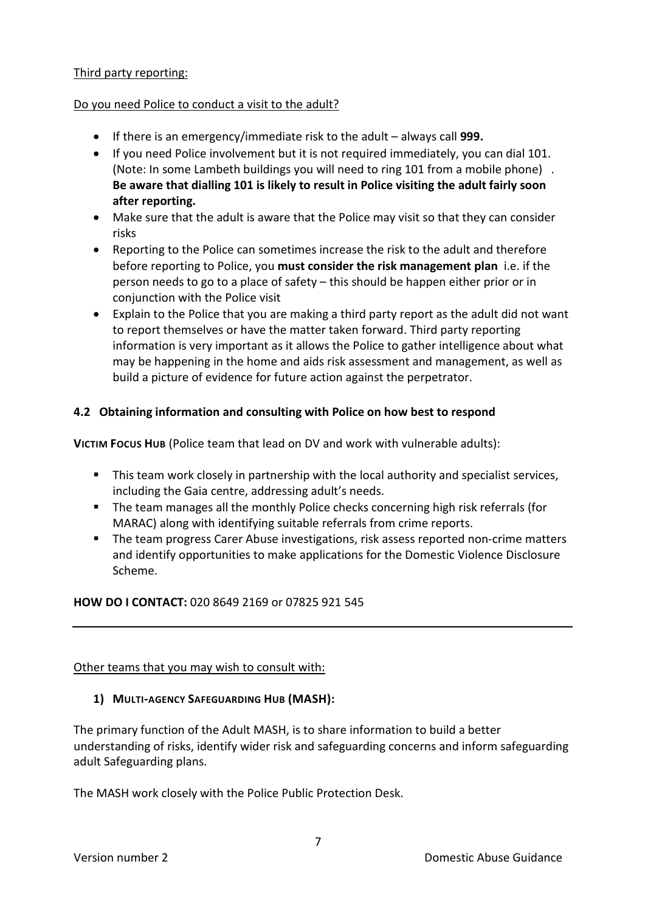#### Third party reporting:

#### Do you need Police to conduct a visit to the adult?

- If there is an emergency/immediate risk to the adult always call **999.**
- If you need Police involvement but it is not required immediately, you can dial 101. (Note: In some Lambeth buildings you will need to ring 101 from a mobile phone) . **Be aware that dialling 101 is likely to result in Police visiting the adult fairly soon after reporting.**
- Make sure that the adult is aware that the Police may visit so that they can consider risks
- Reporting to the Police can sometimes increase the risk to the adult and therefore before reporting to Police, you **must consider the risk management plan** i.e. if the person needs to go to a place of safety – this should be happen either prior or in conjunction with the Police visit
- Explain to the Police that you are making a third party report as the adult did not want to report themselves or have the matter taken forward. Third party reporting information is very important as it allows the Police to gather intelligence about what may be happening in the home and aids risk assessment and management, as well as build a picture of evidence for future action against the perpetrator.

## **4.2 Obtaining information and consulting with Police on how best to respond**

**VICTIM FOCUS HUB** (Police team that lead on DV and work with vulnerable adults):

- **This team work closely in partnership with the local authority and specialist services,** including the Gaia centre, addressing adult's needs.
- The team manages all the monthly Police checks concerning high risk referrals (for MARAC) along with identifying suitable referrals from crime reports.
- **The team progress Carer Abuse investigations, risk assess reported non-crime matters** and identify opportunities to make applications for the Domestic Violence Disclosure Scheme.

#### **HOW DO I CONTACT:** 020 8649 2169 or 07825 921 545

#### Other teams that you may wish to consult with:

#### **1) MULTI-AGENCY SAFEGUARDING HUB (MASH):**

The primary function of the Adult MASH, is to share information to build a better understanding of risks, identify wider risk and safeguarding concerns and inform safeguarding adult Safeguarding plans.

The MASH work closely with the Police Public Protection Desk.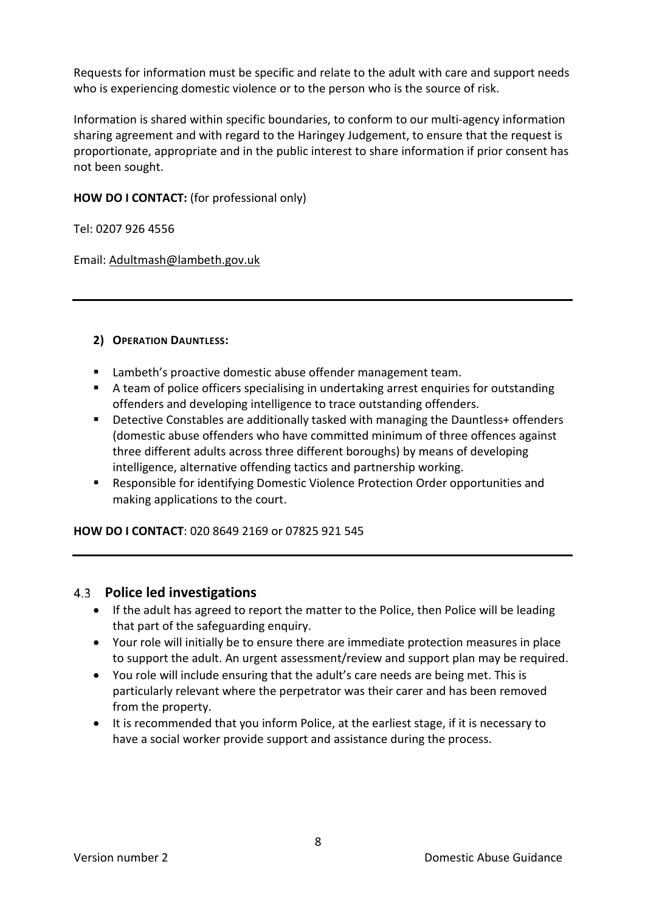Requests for information must be specific and relate to the adult with care and support needs who is experiencing domestic violence or to the person who is the source of risk.

Information is shared within specific boundaries, to conform to our multi-agency information sharing agreement and with regard to the Haringey Judgement, to ensure that the request is proportionate, appropriate and in the public interest to share information if prior consent has not been sought.

#### **HOW DO I CONTACT:** (for professional only)

Tel: 0207 926 4556

Email[: Adultmash@lambeth.gov.uk](mailto:Adultmash@lambeth.gov.uk)

#### **2) OPERATION DAUNTLESS:**

- **EXECT** Lambeth's proactive domestic abuse offender management team.
- A team of police officers specialising in undertaking arrest enquiries for outstanding offenders and developing intelligence to trace outstanding offenders.
- Detective Constables are additionally tasked with managing the Dauntless+ offenders (domestic abuse offenders who have committed minimum of three offences against three different adults across three different boroughs) by means of developing intelligence, alternative offending tactics and partnership working.
- Responsible for identifying Domestic Violence Protection Order opportunities and making applications to the court.

**HOW DO I CONTACT**: 020 8649 2169 or 07825 921 545

#### <span id="page-7-0"></span>**Police led investigations**

- If the adult has agreed to report the matter to the Police, then Police will be leading that part of the safeguarding enquiry.
- Your role will initially be to ensure there are immediate protection measures in place to support the adult. An urgent assessment/review and support plan may be required.
- You role will include ensuring that the adult's care needs are being met. This is particularly relevant where the perpetrator was their carer and has been removed from the property.
- It is recommended that you inform Police, at the earliest stage, if it is necessary to have a social worker provide support and assistance during the process.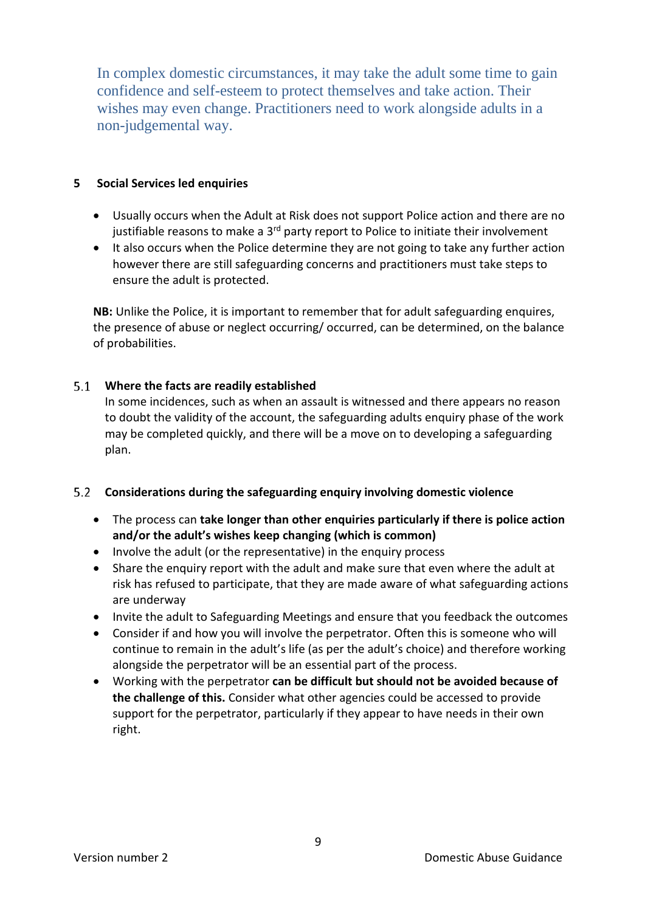In complex domestic circumstances, it may take the adult some time to gain confidence and self-esteem to protect themselves and take action. Their wishes may even change. Practitioners need to work alongside adults in a non-judgemental way.

#### <span id="page-8-0"></span>**5 Social Services led enquiries**

- Usually occurs when the Adult at Risk does not support Police action and there are no justifiable reasons to make a  $3<sup>rd</sup>$  party report to Police to initiate their involvement
- It also occurs when the Police determine they are not going to take any further action however there are still safeguarding concerns and practitioners must take steps to ensure the adult is protected.

**NB:** Unlike the Police, it is important to remember that for adult safeguarding enquires, the presence of abuse or neglect occurring/ occurred, can be determined, on the balance of probabilities.

#### <span id="page-8-1"></span>**Where the facts are readily established**

In some incidences, such as when an assault is witnessed and there appears no reason to doubt the validity of the account, the safeguarding adults enquiry phase of the work may be completed quickly, and there will be a move on to developing a safeguarding plan.

#### <span id="page-8-2"></span>**Considerations during the safeguarding enquiry involving domestic violence**

- The process can **take longer than other enquiries particularly if there is police action and/or the adult's wishes keep changing (which is common)**
- Involve the adult (or the representative) in the enquiry process
- Share the enquiry report with the adult and make sure that even where the adult at risk has refused to participate, that they are made aware of what safeguarding actions are underway
- Invite the adult to Safeguarding Meetings and ensure that you feedback the outcomes
- Consider if and how you will involve the perpetrator. Often this is someone who will continue to remain in the adult's life (as per the adult's choice) and therefore working alongside the perpetrator will be an essential part of the process.
- Working with the perpetrator **can be difficult but should not be avoided because of the challenge of this.** Consider what other agencies could be accessed to provide support for the perpetrator, particularly if they appear to have needs in their own right.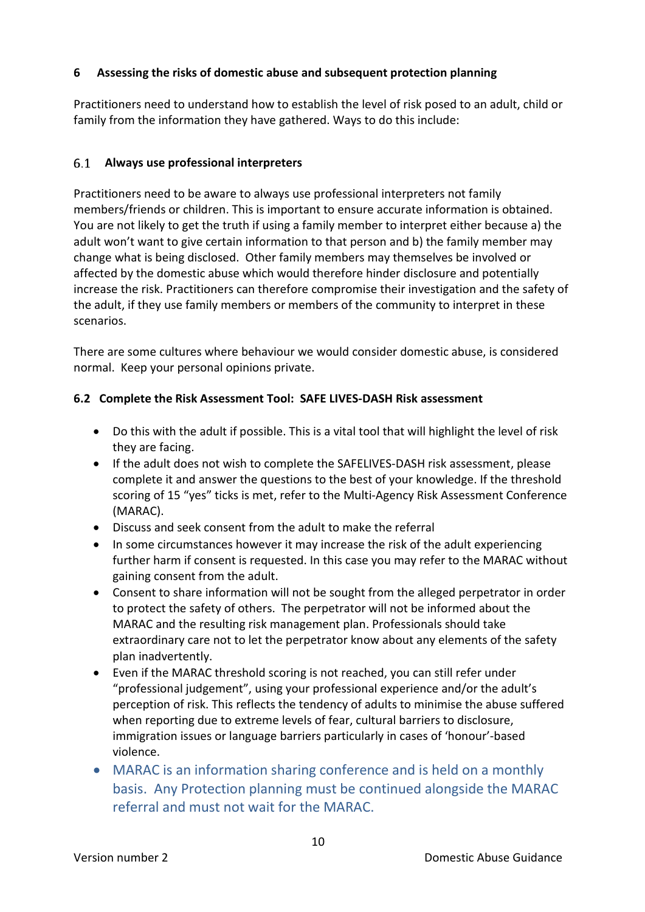## <span id="page-9-0"></span>**6 Assessing the risks of domestic abuse and subsequent protection planning**

Practitioners need to understand how to establish the level of risk posed to an adult, child or family from the information they have gathered. Ways to do this include:

## <span id="page-9-1"></span>**Always use professional interpreters**

Practitioners need to be aware to always use professional interpreters not family members/friends or children. This is important to ensure accurate information is obtained. You are not likely to get the truth if using a family member to interpret either because a) the adult won't want to give certain information to that person and b) the family member may change what is being disclosed. Other family members may themselves be involved or affected by the domestic abuse which would therefore hinder disclosure and potentially increase the risk. Practitioners can therefore compromise their investigation and the safety of the adult, if they use family members or members of the community to interpret in these scenarios.

There are some cultures where behaviour we would consider domestic abuse, is considered normal. Keep your personal opinions private.

#### <span id="page-9-2"></span>**6.2 Complete the Risk Assessment Tool: SAFE LIVES-DASH Risk assessment**

- Do this with the adult if possible. This is a vital tool that will highlight the level of risk they are facing.
- If the adult does not wish to complete the SAFELIVES-DASH risk assessment, please complete it and answer the questions to the best of your knowledge. If the threshold scoring of 15 "yes" ticks is met, refer to the Multi-Agency Risk Assessment Conference (MARAC).
- Discuss and seek consent from the adult to make the referral
- In some circumstances however it may increase the risk of the adult experiencing further harm if consent is requested. In this case you may refer to the MARAC without gaining consent from the adult.
- Consent to share information will not be sought from the alleged perpetrator in order to protect the safety of others. The perpetrator will not be informed about the MARAC and the resulting risk management plan. Professionals should take extraordinary care not to let the perpetrator know about any elements of the safety plan inadvertently.
- Even if the MARAC threshold scoring is not reached, you can still refer under "professional judgement", using your professional experience and/or the adult's perception of risk. This reflects the tendency of adults to minimise the abuse suffered when reporting due to extreme levels of fear, cultural barriers to disclosure, immigration issues or language barriers particularly in cases of 'honour'-based violence.
- MARAC is an information sharing conference and is held on a monthly basis. Any Protection planning must be continued alongside the MARAC referral and must not wait for the MARAC.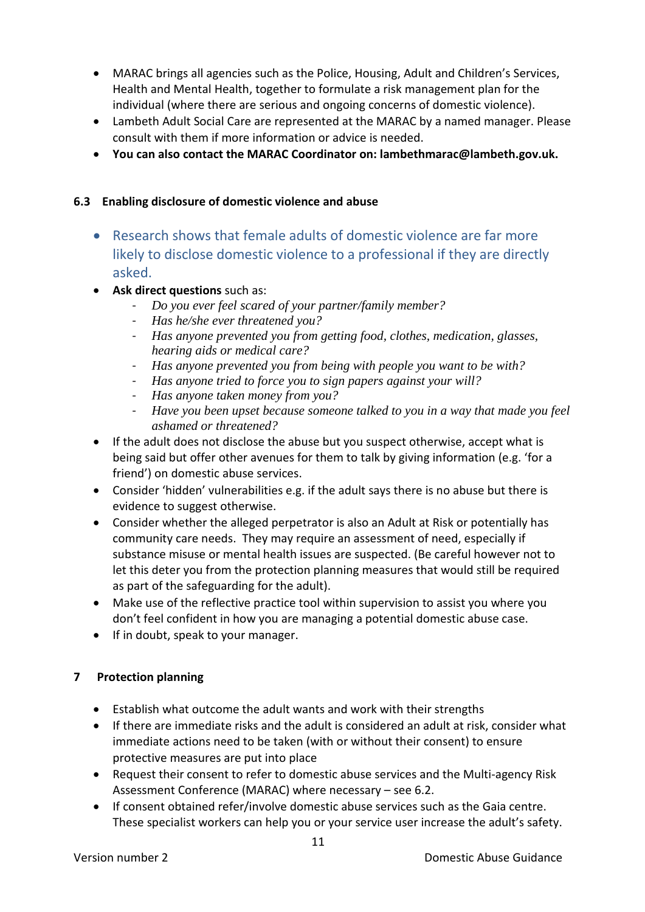- MARAC brings all agencies such as the Police, Housing, Adult and Children's Services, Health and Mental Health, together to formulate a risk management plan for the individual (where there are serious and ongoing concerns of domestic violence).
- Lambeth Adult Social Care are represented at the MARAC by a named manager. Please consult with them if more information or advice is needed.
- **You can also contact the MARAC Coordinator on: lambethmarac@lambeth.gov.uk.**

## **6.3 Enabling disclosure of domestic violence and abuse**

- Research shows that female adults of domestic violence are far more likely to disclose domestic violence to a professional if they are directly asked.
- **Ask direct questions** such as:
	- *Do you ever feel scared of your partner/family member?*
	- *Has he/she ever threatened you?*
	- *Has anyone prevented you from getting food, clothes, medication, glasses, hearing aids or medical care?*
	- *Has anyone prevented you from being with people you want to be with?*
	- *Has anyone tried to force you to sign papers against your will?*
	- *Has anyone taken money from you?*
	- *Have you been upset because someone talked to you in a way that made you feel ashamed or threatened?*
- If the adult does not disclose the abuse but you suspect otherwise, accept what is being said but offer other avenues for them to talk by giving information (e.g. 'for a friend') on domestic abuse services.
- Consider 'hidden' vulnerabilities e.g. if the adult says there is no abuse but there is evidence to suggest otherwise.
- Consider whether the alleged perpetrator is also an Adult at Risk or potentially has community care needs. They may require an assessment of need, especially if substance misuse or mental health issues are suspected. (Be careful however not to let this deter you from the protection planning measures that would still be required as part of the safeguarding for the adult).
- Make use of the reflective practice tool within supervision to assist you where you don't feel confident in how you are managing a potential domestic abuse case.
- <span id="page-10-0"></span>• If in doubt, speak to your manager.

# **7 Protection planning**

- Establish what outcome the adult wants and work with their strengths
- If there are immediate risks and the adult is considered an adult at risk, consider what immediate actions need to be taken (with or without their consent) to ensure protective measures are put into place
- Request their consent to refer to domestic abuse services and the Multi-agency Risk Assessment Conference (MARAC) where necessary – see 6.2.
- If consent obtained refer/involve domestic abuse services such as the Gaia centre. These specialist workers can help you or your service user increase the adult's safety.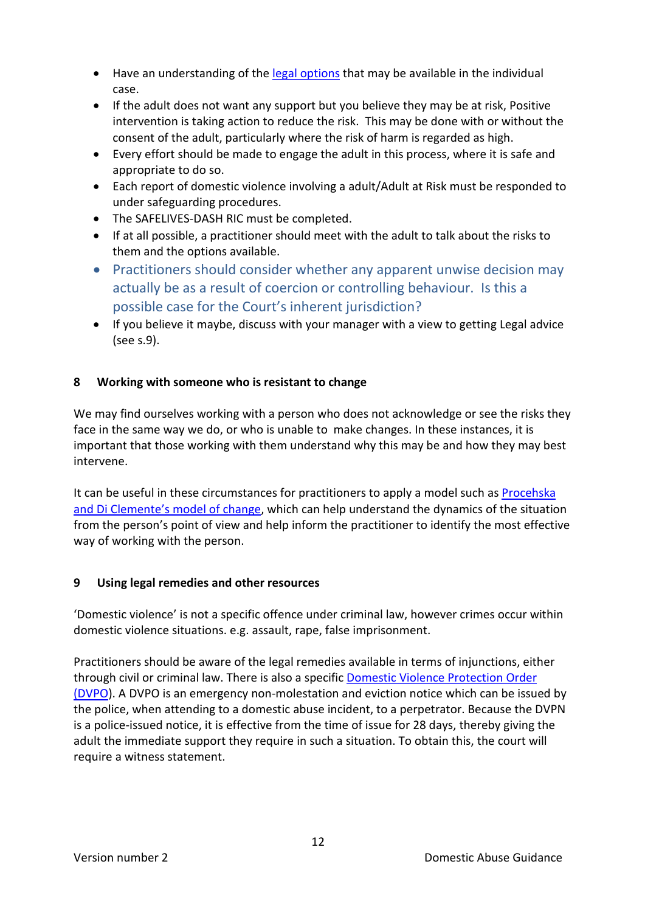- Have an understanding of the [legal options](http://www.legislation.gov.uk/ukpga/2004/28/contents) that may be available in the individual case.
- If the adult does not want any support but you believe they may be at risk, Positive intervention is taking action to reduce the risk. This may be done with or without the consent of the adult, particularly where the risk of harm is regarded as high.
- Every effort should be made to engage the adult in this process, where it is safe and appropriate to do so.
- Each report of domestic violence involving a adult/Adult at Risk must be responded to under safeguarding procedures.
- The SAFELIVES-DASH RIC must be completed.
- If at all possible, a practitioner should meet with the adult to talk about the risks to them and the options available.
- Practitioners should consider whether any apparent unwise decision may actually be as a result of coercion or controlling behaviour. Is this a possible case for the Court's inherent jurisdiction?
- If you believe it maybe, discuss with your manager with a view to getting Legal advice (see s.9).

# <span id="page-11-0"></span>**8 Working with someone who is resistant to change**

We may find ourselves working with a person who does not acknowledge or see the risks they face in the same way we do, or who is unable to make changes. In these instances, it is important that those working with them understand why this may be and how they may best intervene.

It can be useful in these circumstances for practitioners to apply a model such as Procehska [and Di Clemente's](http://www.stepupprogram.org/docs/handouts/STEPUP_Stages_of_Change.pdf) model of change, which can help understand the dynamics of the situation from the person's point of view and help inform the practitioner to identify the most effective way of working with the person.

# <span id="page-11-1"></span>**9 Using legal remedies and other resources**

'Domestic violence' is not a specific offence under criminal law, however crimes occur within domestic violence situations. e.g. assault, rape, false imprisonment.

Practitioners should be aware of the legal remedies available in terms of injunctions, either through civil or criminal law. There is also a specific [Domestic Violence Protection Order](https://www.gov.uk/government/publications/domestic-violence-protection-orders)  [\(DVPO\)](https://www.gov.uk/government/publications/domestic-violence-protection-orders). A DVPO is an emergency non-molestation and eviction notice which can be issued by the police, when attending to a domestic abuse incident, to a perpetrator. Because the DVPN is a police-issued notice, it is effective from the time of issue for 28 days, thereby giving the adult the immediate support they require in such a situation. To obtain this, the court will require a witness statement.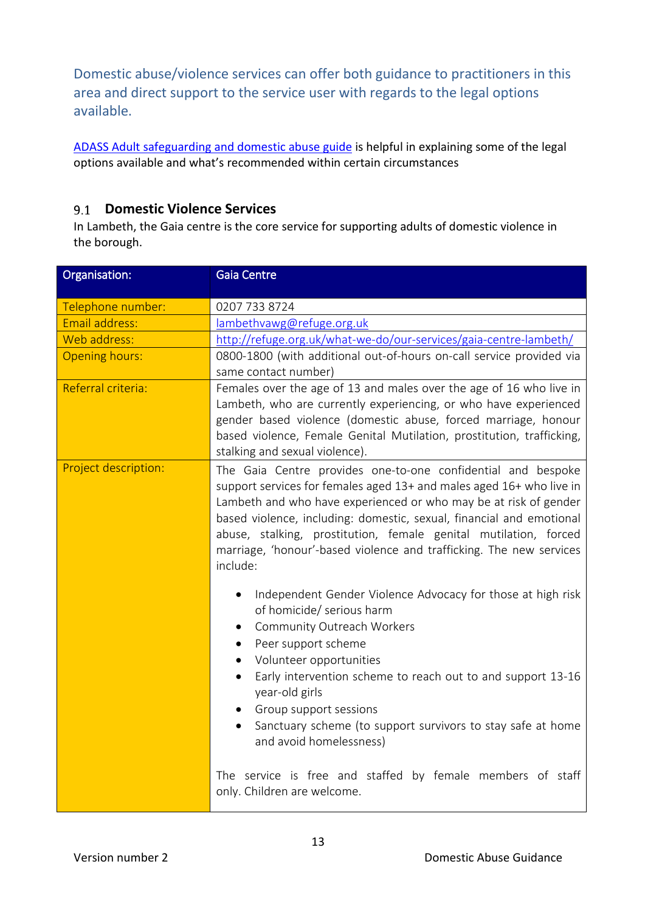Domestic abuse/violence services can offer both guidance to practitioners in this area and direct support to the service user with regards to the legal options available.

[ADASS Adult safeguarding and domestic abuse guide](https://www.adass.org.uk/media/4511/adult-safeguarding-and-domestic-abuse-1.pdf) is helpful in explaining some of the legal options available and what's recommended within certain circumstances

# **Domestic Violence Services**

In Lambeth, the Gaia centre is the core service for supporting adults of domestic violence in the borough.

| Organisation:         | <b>Gaia Centre</b>                                                                                                                                                                                                                                                                                                                                                                                                                                                       |
|-----------------------|--------------------------------------------------------------------------------------------------------------------------------------------------------------------------------------------------------------------------------------------------------------------------------------------------------------------------------------------------------------------------------------------------------------------------------------------------------------------------|
| Telephone number:     | 0207 733 8724                                                                                                                                                                                                                                                                                                                                                                                                                                                            |
| Email address:        | lambethvawg@refuge.org.uk                                                                                                                                                                                                                                                                                                                                                                                                                                                |
| Web address:          | http://refuge.org.uk/what-we-do/our-services/gaia-centre-lambeth/                                                                                                                                                                                                                                                                                                                                                                                                        |
| <b>Opening hours:</b> | 0800-1800 (with additional out-of-hours on-call service provided via<br>same contact number)                                                                                                                                                                                                                                                                                                                                                                             |
| Referral criteria:    | Females over the age of 13 and males over the age of 16 who live in<br>Lambeth, who are currently experiencing, or who have experienced<br>gender based violence (domestic abuse, forced marriage, honour<br>based violence, Female Genital Mutilation, prostitution, trafficking,<br>stalking and sexual violence).                                                                                                                                                     |
| Project description:  | The Gaia Centre provides one-to-one confidential and bespoke<br>support services for females aged 13+ and males aged 16+ who live in<br>Lambeth and who have experienced or who may be at risk of gender<br>based violence, including: domestic, sexual, financial and emotional<br>abuse, stalking, prostitution, female genital mutilation, forced<br>marriage, 'honour'-based violence and trafficking. The new services<br>include:                                  |
|                       | Independent Gender Violence Advocacy for those at high risk<br>$\bullet$<br>of homicide/ serious harm<br>Community Outreach Workers<br>$\bullet$<br>Peer support scheme<br>$\bullet$<br>Volunteer opportunities<br>$\bullet$<br>Early intervention scheme to reach out to and support 13-16<br>$\bullet$<br>year-old girls<br>Group support sessions<br>$\bullet$<br>Sanctuary scheme (to support survivors to stay safe at home<br>$\bullet$<br>and avoid homelessness) |
|                       | The service is free and staffed by female members of staff<br>only. Children are welcome.                                                                                                                                                                                                                                                                                                                                                                                |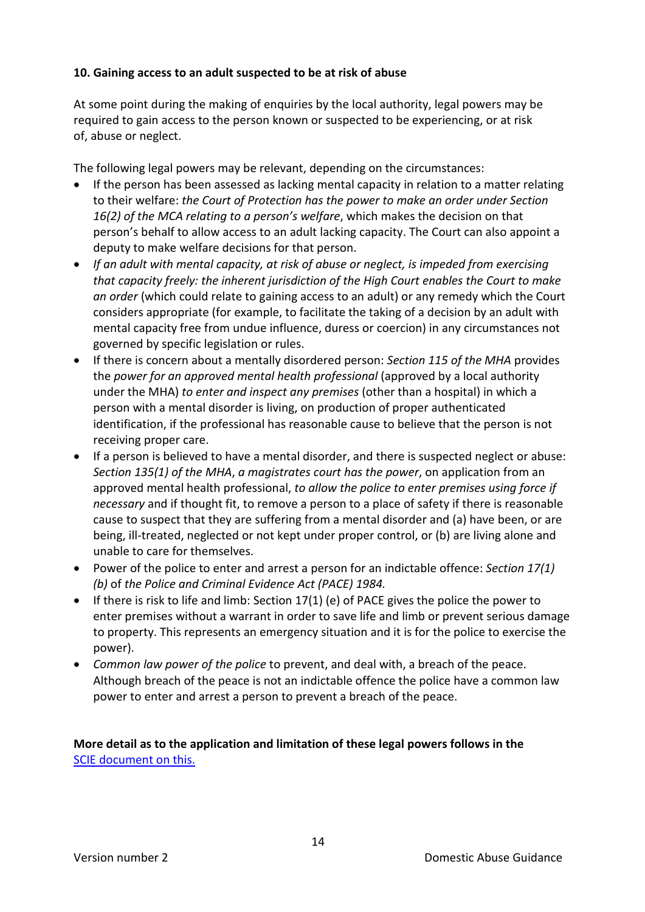### <span id="page-13-0"></span>**10. Gaining access to an adult suspected to be at risk of abuse**

At some point during the making of enquiries by the local authority, legal powers may be required to gain access to the person known or suspected to be experiencing, or at risk of, abuse or neglect.

The following legal powers may be relevant, depending on the circumstances:

- If the person has been assessed as lacking mental capacity in relation to a matter relating to their welfare: *the Court of Protection has the power to make an order under Section 16(2) of the MCA relating to a person's welfare*, which makes the decision on that person's behalf to allow access to an adult lacking capacity. The Court can also appoint a deputy to make welfare decisions for that person.
- *If an adult with mental capacity, at risk of abuse or neglect, is impeded from exercising that capacity freely: the inherent jurisdiction of the High Court enables the Court to make an order* (which could relate to gaining access to an adult) or any remedy which the Court considers appropriate (for example, to facilitate the taking of a decision by an adult with mental capacity free from undue influence, duress or coercion) in any circumstances not governed by specific legislation or rules.
- If there is concern about a mentally disordered person: *Section 115 of the MHA* provides the *power for an approved mental health professional* (approved by a local authority under the MHA) *to enter and inspect any premises* (other than a hospital) in which a person with a mental disorder is living, on production of proper authenticated identification, if the professional has reasonable cause to believe that the person is not receiving proper care.
- If a person is believed to have a mental disorder, and there is suspected neglect or abuse: *Section 135(1) of the MHA*, *a magistrates court has the power*, on application from an approved mental health professional, *to allow the police to enter premises using force if necessary* and if thought fit, to remove a person to a place of safety if there is reasonable cause to suspect that they are suffering from a mental disorder and (a) have been, or are being, ill-treated, neglected or not kept under proper control, or (b) are living alone and unable to care for themselves.
- Power of the police to enter and arrest a person for an indictable offence: *Section 17(1) (b)* of *the Police and Criminal Evidence Act (PACE) 1984.*
- If there is risk to life and limb: Section 17(1) (e) of PACE gives the police the power to enter premises without a warrant in order to save life and limb or prevent serious damage to property. This represents an emergency situation and it is for the police to exercise the power).
- *Common law power of the police* to prevent, and deal with, a breach of the peace. Although breach of the peace is not an indictable offence the police have a common law power to enter and arrest a person to prevent a breach of the peace.

**More detail as to the application and limitation of these legal powers follows in the** [SCIE document on this.](http://www.scie.org.uk/care-act-2014/safeguarding-adults/adult-suspected-at-risk-of-neglect-abuse/files/adult-suspected-at-risk-of-neglect-abuse.pdf)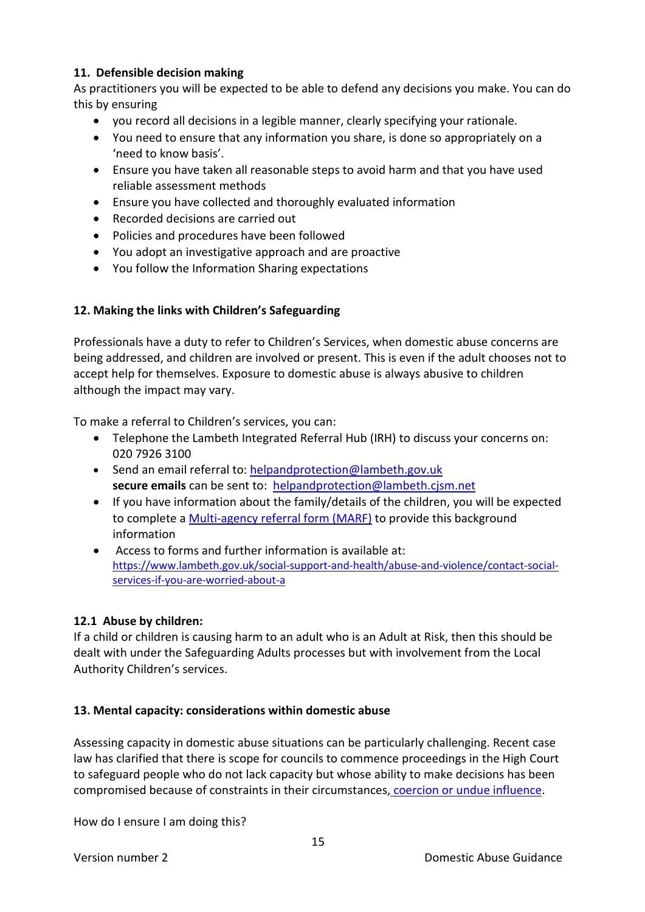### **11. Defensible decision making**

As practitioners you will be expected to be able to defend any decisions you make. You can do this by ensuring

- you record all decisions in a legible manner, clearly specifying your rationale.
- You need to ensure that any information you share, is done so appropriately on a 'need to know basis'.
- Ensure you have taken all reasonable steps to avoid harm and that you have used reliable assessment methods
- Ensure you have collected and thoroughly evaluated information
- Recorded decisions are carried out
- Policies and procedures have been followed
- You adopt an investigative approach and are proactive
- <span id="page-14-0"></span>• You follow the Information Sharing expectations

#### **12. Making the links with Children's Safeguarding**

Professionals have a duty to refer to Children's Services, when domestic abuse concerns are being addressed, and children are involved or present. This is even if the adult chooses not to accept help for themselves. Exposure to domestic abuse is always abusive to children although the impact may vary.

To make a referral to Children's services, you can:

- Telephone the Lambeth Integrated Referral Hub (IRH) to discuss your concerns on: 020 7926 3100
- Send an email referral to: [helpandprotection@lambeth.gov.uk](mailto:helpandprotection@lambeth.gov.uk) **secure emails** can be sent to: [helpandprotection@lambeth.cjsm.net](mailto:helpandprotection@lambeth.cjsm.net)
- If you have information about the family/details of the children, you will be expected to complete a [Multi-agency referral form \(MARF\)](https://www.lambethsab.org.uk/children/documents/multi-agency-referral-form) to provide this background information
- Access to forms and further information is available at: [https://www.lambeth.gov.uk/social-support-and-health/abuse-and-violence/contact-social](https://www.lambeth.gov.uk/social-support-and-health/abuse-and-violence/contact-social-services-if-you-are-worried-about-a)[services-if-you-are-worried-about-a](https://www.lambeth.gov.uk/social-support-and-health/abuse-and-violence/contact-social-services-if-you-are-worried-about-a)

#### <span id="page-14-1"></span>**12.1 Abuse by children:**

If a child or children is causing harm to an adult who is an Adult at Risk, then this should be dealt with under the Safeguarding Adults processes but with involvement from the Local Authority Children's services.

#### <span id="page-14-2"></span>**13. Mental capacity: considerations within domestic abuse**

Assessing capacity in domestic abuse situations can be particularly challenging. Recent case law has clarified that there is scope for councils to commence proceedings in the High Court to safeguard people who do not lack capacity but whose ability to make decisions has been compromised because of constraints in their circumstances, [coercion or undue influence.](https://www.gov.uk/government/uploads/system/uploads/attachment_data/file/482528/Controlling_or_coercive_behaviour_-_statutory_guidance.pdf)

How do I ensure I am doing this?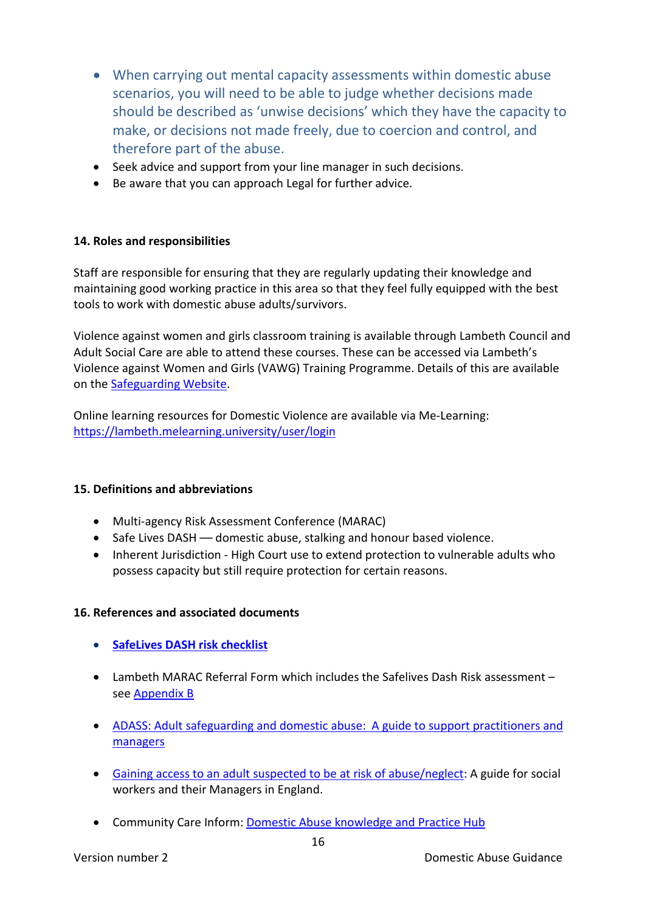- When carrying out mental capacity assessments within domestic abuse scenarios, you will need to be able to judge whether decisions made should be described as 'unwise decisions' which they have the capacity to make, or decisions not made freely, due to coercion and control, and therefore part of the abuse.
- Seek advice and support from your line manager in such decisions.
- Be aware that you can approach Legal for further advice.

#### <span id="page-15-0"></span>**14. Roles and responsibilities**

Staff are responsible for ensuring that they are regularly updating their knowledge and maintaining good working practice in this area so that they feel fully equipped with the best tools to work with domestic abuse adults/survivors.

Violence against women and girls classroom training is available through Lambeth Council and Adult Social Care are able to attend these courses. These can be accessed via Lambeth's Violence against Women and Girls (VAWG) Training Programme. Details of this are available on the [Safeguarding Website.](https://www.lambethsab.org.uk/training)

Online learning resources for Domestic Violence are available via Me-Learning: <https://lambeth.melearning.university/user/login>

#### <span id="page-15-1"></span>**15. Definitions and abbreviations**

- Multi-agency Risk Assessment Conference (MARAC)
- Safe Lives DASH –– domestic abuse, stalking and honour based violence.
- Inherent Jurisdiction High Court use to extend protection to vulnerable adults who possess capacity but still require protection for certain reasons.

#### <span id="page-15-2"></span>**16. References and associated documents**

- **[SafeLives DASH](http://www.safelives.org.uk/sites/default/files/resources/Dash%20with%20guidance%20FINAL.doc) risk checklist**
- Lambeth MARAC Referral Form which includes the Safelives Dash Risk assessment see [Appendix B](#page-20-0)
- [ADASS: Adult safeguarding and domestic abuse: A guide to support practitioners and](http://www.local.gov.uk/c/document_library/get_file?uuid=5928377b-8eb3-4518-84ac-61ea6e19a026&groupId=10180)  [managers](http://www.local.gov.uk/c/document_library/get_file?uuid=5928377b-8eb3-4518-84ac-61ea6e19a026&groupId=10180)
- [Gaining access to an adult suspected to be at risk of abuse/neglect:](http://www.scie.org.uk/care-act-2014/safeguarding-adults/adult-suspected-at-risk-of-neglect-abuse/files/adult-suspected-at-risk-of-neglect-abuse.pdf) A guide for social workers and their Managers in England.
- Community Care Inform: [Domestic Abuse knowledge and Practice Hub](https://adults.ccinform.co.uk/knowledge-hubs/domestic-abuse-knowledge-and-practice-hub/?knowledge_hubs=domestic-abuse-knowledge-and-practice-hub&post_type=knowledge_hubs)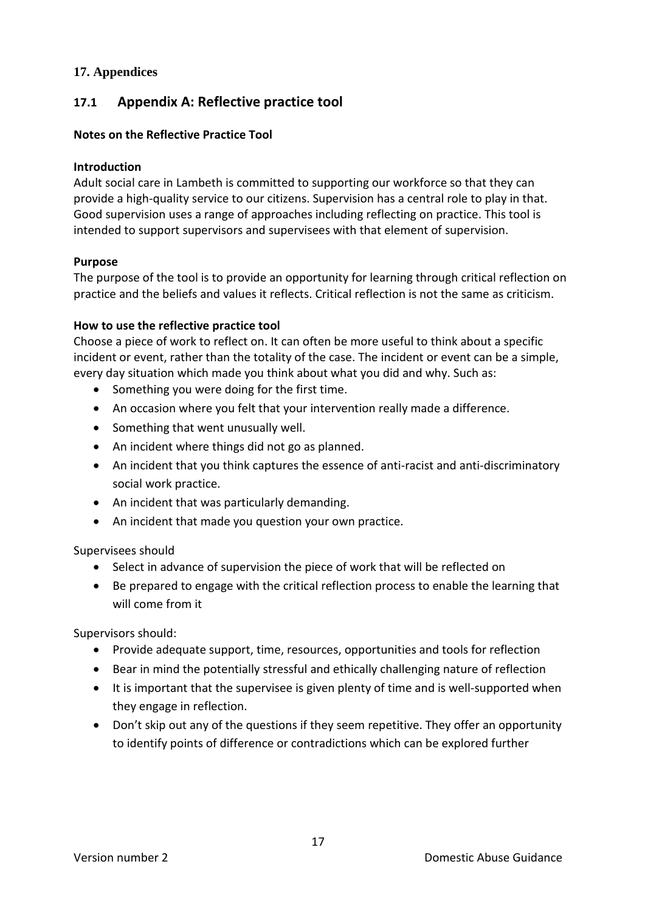## <span id="page-16-0"></span>**17. Appendices**

# <span id="page-16-1"></span>**17.1 Appendix A: Reflective practice tool**

#### **Notes on the Reflective Practice Tool**

#### **Introduction**

Adult social care in Lambeth is committed to supporting our workforce so that they can provide a high-quality service to our citizens. Supervision has a central role to play in that. Good supervision uses a range of approaches including reflecting on practice. This tool is intended to support supervisors and supervisees with that element of supervision.

#### **Purpose**

The purpose of the tool is to provide an opportunity for learning through critical reflection on practice and the beliefs and values it reflects. Critical reflection is not the same as criticism.

#### **How to use the reflective practice tool**

Choose a piece of work to reflect on. It can often be more useful to think about a specific incident or event, rather than the totality of the case. The incident or event can be a simple, every day situation which made you think about what you did and why. Such as:

- Something you were doing for the first time.
- An occasion where you felt that your intervention really made a difference.
- Something that went unusually well.
- An incident where things did not go as planned.
- An incident that you think captures the essence of anti-racist and anti-discriminatory social work practice.
- An incident that was particularly demanding.
- An incident that made you question your own practice.

Supervisees should

- Select in advance of supervision the piece of work that will be reflected on
- Be prepared to engage with the critical reflection process to enable the learning that will come from it

Supervisors should:

- Provide adequate support, time, resources, opportunities and tools for reflection
- Bear in mind the potentially stressful and ethically challenging nature of reflection
- It is important that the supervisee is given plenty of time and is well-supported when they engage in reflection.
- Don't skip out any of the questions if they seem repetitive. They offer an opportunity to identify points of difference or contradictions which can be explored further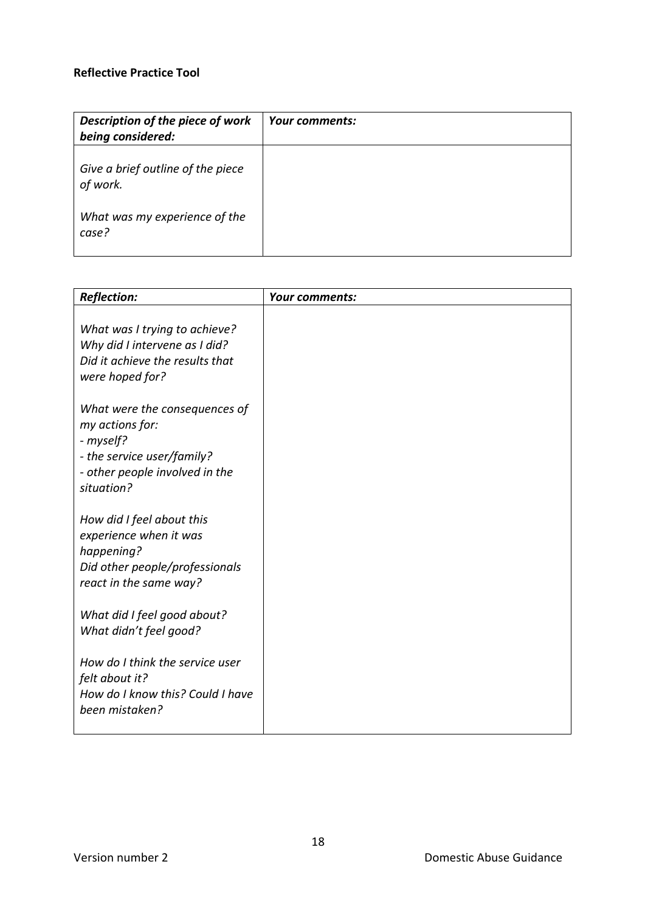# **Reflective Practice Tool**

| Description of the piece of work<br>being considered: | Your comments: |
|-------------------------------------------------------|----------------|
| Give a brief outline of the piece<br>of work.         |                |
| What was my experience of the<br>case?                |                |

| <b>Reflection:</b>                                                                                                                          | Your comments: |
|---------------------------------------------------------------------------------------------------------------------------------------------|----------------|
| What was I trying to achieve?<br>Why did I intervene as I did?<br>Did it achieve the results that<br>were hoped for?                        |                |
| What were the consequences of<br>my actions for:<br>- myself?<br>- the service user/family?<br>- other people involved in the<br>situation? |                |
| How did I feel about this<br>experience when it was<br>happening?<br>Did other people/professionals<br>react in the same way?               |                |
| What did I feel good about?<br>What didn't feel good?                                                                                       |                |
| How do I think the service user<br>felt about it?<br>How do I know this? Could I have<br>been mistaken?                                     |                |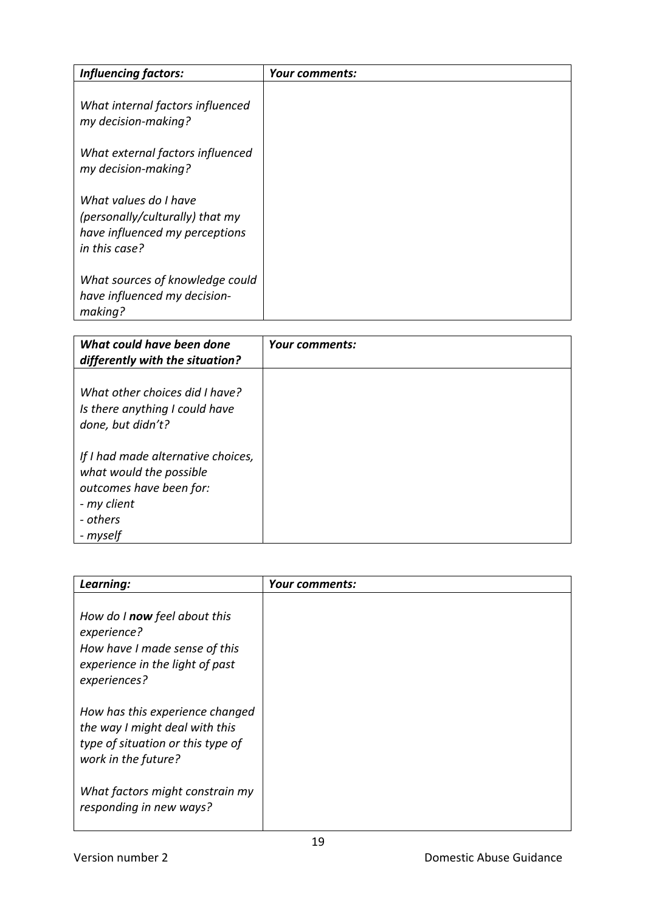| <b>Influencing factors:</b>                                                                                 | Your comments: |
|-------------------------------------------------------------------------------------------------------------|----------------|
| What internal factors influenced<br>my decision-making?                                                     |                |
| What external factors influenced<br>my decision-making?                                                     |                |
| What values do I have<br>(personally/culturally) that my<br>have influenced my perceptions<br>in this case? |                |
| What sources of knowledge could<br>have influenced my decision-<br>making?                                  |                |

| What could have been done<br>differently with the situation?                                                                    | Your comments: |
|---------------------------------------------------------------------------------------------------------------------------------|----------------|
| What other choices did I have?<br>Is there anything I could have<br>done, but didn't?                                           |                |
| If I had made alternative choices,<br>what would the possible<br>outcomes have been for:<br>- my client<br>- others<br>- myself |                |

| Learning:                                                                                                                       | Your comments: |
|---------------------------------------------------------------------------------------------------------------------------------|----------------|
| How do I now feel about this<br>experience?<br>How have I made sense of this<br>experience in the light of past<br>experiences? |                |
| How has this experience changed<br>the way I might deal with this<br>type of situation or this type of<br>work in the future?   |                |
| What factors might constrain my<br>responding in new ways?                                                                      |                |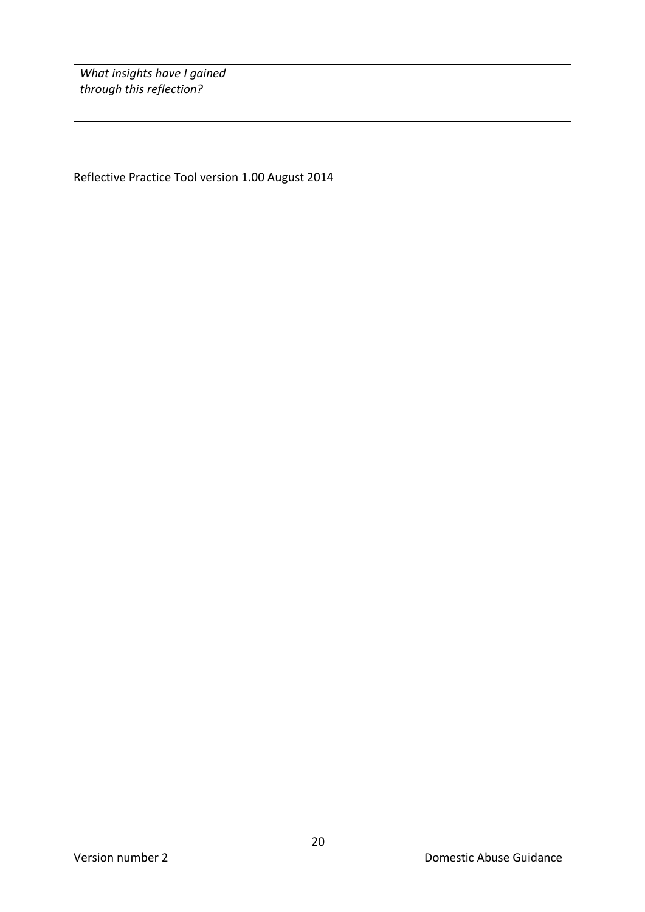| What insights have I gained |
|-----------------------------|
| through this reflection?    |

Reflective Practice Tool version 1.00 August 2014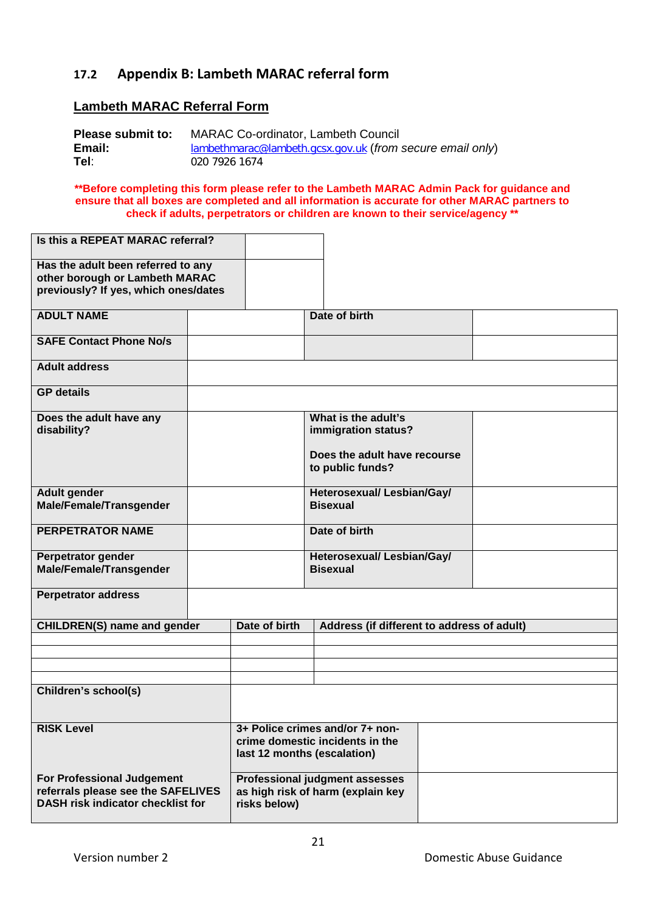# <span id="page-20-0"></span>**17.2 Appendix B: Lambeth MARAC referral form**

## **Lambeth MARAC Referral Form**

| Please submit to: | <b>MARAC Co-ordinator, Lambeth Council</b>                  |
|-------------------|-------------------------------------------------------------|
| Email:            | $lambethmarac@lambeth.qcsx.gov.uk (from secure email only)$ |
| Tel:              | 020 7926 1674                                               |

**\*\*Before completing this form please refer to the Lambeth MARAC Admin Pack for guidance and ensure that all boxes are completed and all information is accurate for other MARAC partners to check if adults, perpetrators or children are known to their service/agency \*\***

| Is this a REPEAT MARAC referral?                                                                                    |               |                                                                                                   |  |
|---------------------------------------------------------------------------------------------------------------------|---------------|---------------------------------------------------------------------------------------------------|--|
| Has the adult been referred to any<br>other borough or Lambeth MARAC<br>previously? If yes, which ones/dates        |               |                                                                                                   |  |
| <b>ADULT NAME</b>                                                                                                   |               | Date of birth                                                                                     |  |
| <b>SAFE Contact Phone No/s</b>                                                                                      |               |                                                                                                   |  |
| <b>Adult address</b>                                                                                                |               |                                                                                                   |  |
| <b>GP</b> details                                                                                                   |               |                                                                                                   |  |
| Does the adult have any<br>disability?                                                                              |               | What is the adult's<br>immigration status?<br>Does the adult have recourse                        |  |
|                                                                                                                     |               | to public funds?                                                                                  |  |
| <b>Adult gender</b><br><b>Male/Female/Transgender</b>                                                               |               | Heterosexual/ Lesbian/Gay/<br><b>Bisexual</b>                                                     |  |
| <b>PERPETRATOR NAME</b>                                                                                             |               | Date of birth                                                                                     |  |
| Perpetrator gender<br><b>Male/Female/Transgender</b>                                                                |               | Heterosexual/Lesbian/Gay/<br><b>Bisexual</b>                                                      |  |
| <b>Perpetrator address</b>                                                                                          |               |                                                                                                   |  |
| <b>CHILDREN(S) name and gender</b>                                                                                  | Date of birth | Address (if different to address of adult)                                                        |  |
|                                                                                                                     |               |                                                                                                   |  |
|                                                                                                                     |               |                                                                                                   |  |
| Children's school(s)                                                                                                |               |                                                                                                   |  |
| <b>RISK Level</b>                                                                                                   |               | 3+ Police crimes and/or 7+ non-<br>crime domestic incidents in the<br>last 12 months (escalation) |  |
| <b>For Professional Judgement</b><br>referrals please see the SAFELIVES<br><b>DASH risk indicator checklist for</b> | risks below)  | <b>Professional judgment assesses</b><br>as high risk of harm (explain key                        |  |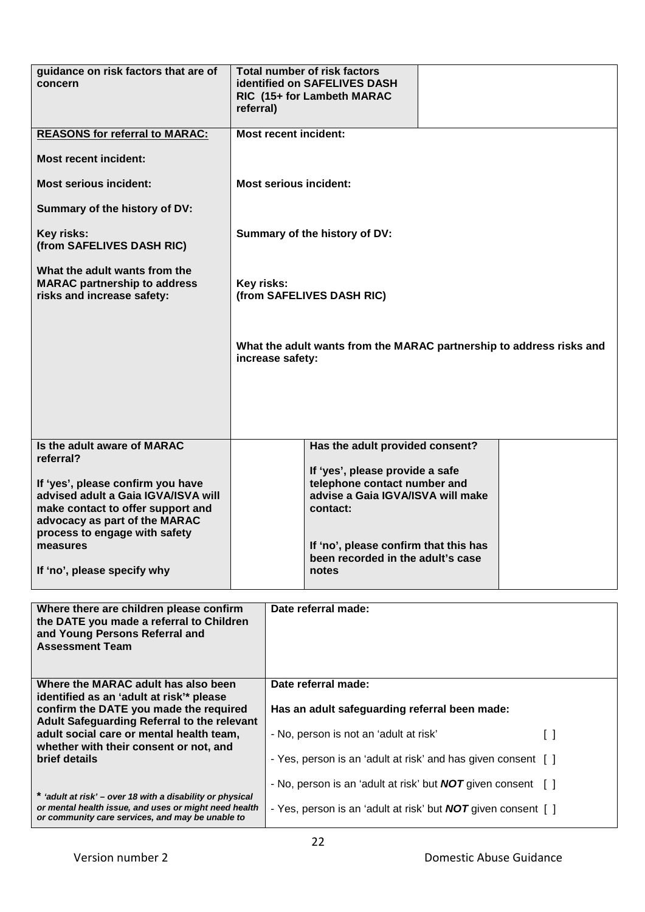| guidance on risk factors that are of<br>concern                                                                                                                                              | referral)                                                           |                                                                                                                                   | <b>Total number of risk factors</b><br>identified on SAFELIVES DASH<br>RIC (15+ for Lambeth MARAC                |  |  |  |  |
|----------------------------------------------------------------------------------------------------------------------------------------------------------------------------------------------|---------------------------------------------------------------------|-----------------------------------------------------------------------------------------------------------------------------------|------------------------------------------------------------------------------------------------------------------|--|--|--|--|
| <b>REASONS for referral to MARAC:</b>                                                                                                                                                        |                                                                     |                                                                                                                                   | <b>Most recent incident:</b>                                                                                     |  |  |  |  |
| <b>Most recent incident:</b>                                                                                                                                                                 |                                                                     |                                                                                                                                   |                                                                                                                  |  |  |  |  |
| <b>Most serious incident:</b>                                                                                                                                                                |                                                                     | <b>Most serious incident:</b>                                                                                                     |                                                                                                                  |  |  |  |  |
| Summary of the history of DV:                                                                                                                                                                |                                                                     |                                                                                                                                   |                                                                                                                  |  |  |  |  |
| Key risks:<br>(from SAFELIVES DASH RIC)                                                                                                                                                      |                                                                     | Summary of the history of DV:                                                                                                     |                                                                                                                  |  |  |  |  |
| What the adult wants from the<br><b>MARAC partnership to address</b><br>risks and increase safety:                                                                                           | Key risks:<br>(from SAFELIVES DASH RIC)                             |                                                                                                                                   |                                                                                                                  |  |  |  |  |
|                                                                                                                                                                                              |                                                                     | increase safety:                                                                                                                  | What the adult wants from the MARAC partnership to address risks and                                             |  |  |  |  |
| Is the adult aware of MARAC                                                                                                                                                                  |                                                                     |                                                                                                                                   | Has the adult provided consent?                                                                                  |  |  |  |  |
| referral?<br>If 'yes', please confirm you have<br>advised adult a Gaia IGVA/ISVA will<br>make contact to offer support and<br>advocacy as part of the MARAC<br>process to engage with safety |                                                                     |                                                                                                                                   | If 'yes', please provide a safe<br>telephone contact number and<br>advise a Gaia IGVA/ISVA will make<br>contact: |  |  |  |  |
| measures<br>If 'no', please specify why                                                                                                                                                      |                                                                     |                                                                                                                                   | If 'no', please confirm that this has<br>been recorded in the adult's case<br>notes                              |  |  |  |  |
|                                                                                                                                                                                              |                                                                     |                                                                                                                                   |                                                                                                                  |  |  |  |  |
| Where there are children please confirm<br>the DATE you made a referral to Children<br>and Young Persons Referral and<br><b>Assessment Team</b>                                              |                                                                     |                                                                                                                                   | Date referral made:                                                                                              |  |  |  |  |
| Where the MARAC adult has also been                                                                                                                                                          |                                                                     |                                                                                                                                   | Date referral made:                                                                                              |  |  |  |  |
| identified as an 'adult at risk'* please<br>confirm the DATE you made the required                                                                                                           |                                                                     |                                                                                                                                   | Has an adult safeguarding referral been made:                                                                    |  |  |  |  |
| Adult Safeguarding Referral to the relevant                                                                                                                                                  |                                                                     |                                                                                                                                   |                                                                                                                  |  |  |  |  |
| adult social care or mental health team,<br>whether with their consent or not, and<br>brief details                                                                                          |                                                                     | - No, person is not an 'adult at risk'<br>$\left[ \quad \right]$<br>- Yes, person is an 'adult at risk' and has given consent [ ] |                                                                                                                  |  |  |  |  |
|                                                                                                                                                                                              |                                                                     |                                                                                                                                   | - No, person is an 'adult at risk' but <b>NOT</b> given consent [ ]                                              |  |  |  |  |
| * 'adult at risk' - over 18 with a disability or physical<br>or mental health issue, and uses or might need health                                                                           |                                                                     |                                                                                                                                   |                                                                                                                  |  |  |  |  |
| or community care services, and may be unable to                                                                                                                                             | - Yes, person is an 'adult at risk' but <b>NOT</b> given consent [] |                                                                                                                                   |                                                                                                                  |  |  |  |  |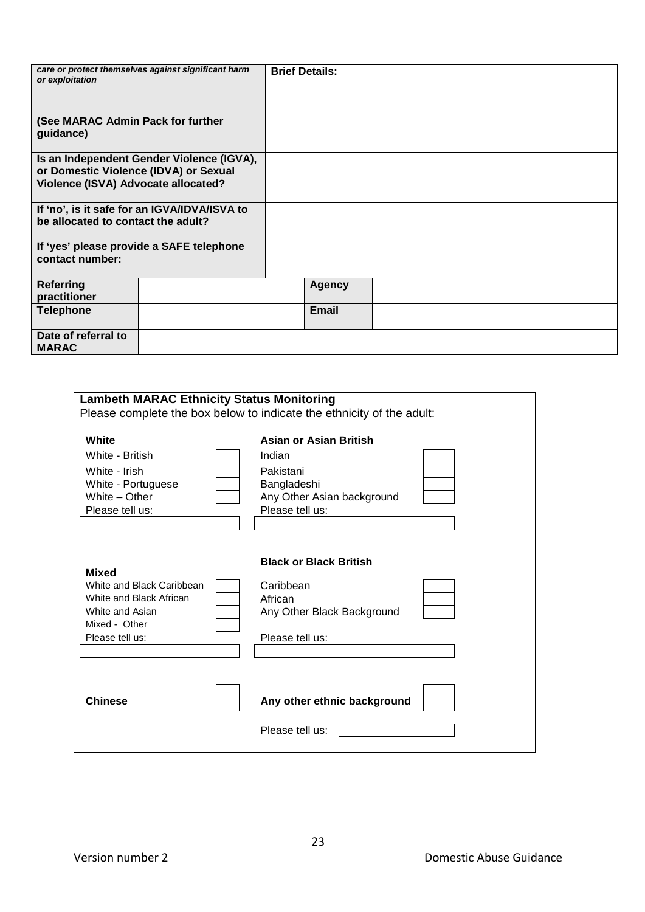| or exploitation<br>(See MARAC Admin Pack for further | care or protect themselves against significant harm | <b>Brief Details:</b> |  |  |
|------------------------------------------------------|-----------------------------------------------------|-----------------------|--|--|
| guidance)                                            |                                                     |                       |  |  |
|                                                      | Is an Independent Gender Violence (IGVA),           |                       |  |  |
| or Domestic Violence (IDVA) or Sexual                |                                                     |                       |  |  |
| Violence (ISVA) Advocate allocated?                  |                                                     |                       |  |  |
|                                                      |                                                     |                       |  |  |
| be allocated to contact the adult?                   | If 'no', is it safe for an IGVA/IDVA/ISVA to        |                       |  |  |
|                                                      |                                                     |                       |  |  |
|                                                      | If 'yes' please provide a SAFE telephone            |                       |  |  |
| contact number:                                      |                                                     |                       |  |  |
|                                                      |                                                     |                       |  |  |
| <b>Referring</b>                                     |                                                     | <b>Agency</b>         |  |  |
| practitioner                                         |                                                     |                       |  |  |
| <b>Telephone</b>                                     |                                                     | <b>Email</b>          |  |  |
|                                                      |                                                     |                       |  |  |
| Date of referral to                                  |                                                     |                       |  |  |
| <b>MARAC</b>                                         |                                                     |                       |  |  |

| <b>Lambeth MARAC Ethnicity Status Monitoring</b><br>Please complete the box below to indicate the ethnicity of the adult:   |                                                                                                        |  |
|-----------------------------------------------------------------------------------------------------------------------------|--------------------------------------------------------------------------------------------------------|--|
| White                                                                                                                       | Asian or Asian British                                                                                 |  |
| White - British                                                                                                             | Indian                                                                                                 |  |
| White - Irish                                                                                                               | Pakistani                                                                                              |  |
| White - Portuguese                                                                                                          | Bangladeshi                                                                                            |  |
| White - Other                                                                                                               | Any Other Asian background                                                                             |  |
| Please tell us:                                                                                                             | Please tell us:                                                                                        |  |
|                                                                                                                             |                                                                                                        |  |
| <b>Mixed</b><br>White and Black Caribbean<br>White and Black African<br>White and Asian<br>Mixed - Other<br>Please tell us: | <b>Black or Black British</b><br>Caribbean<br>African<br>Any Other Black Background<br>Please tell us: |  |
| <b>Chinese</b>                                                                                                              | Any other ethnic background<br>Please tell us:                                                         |  |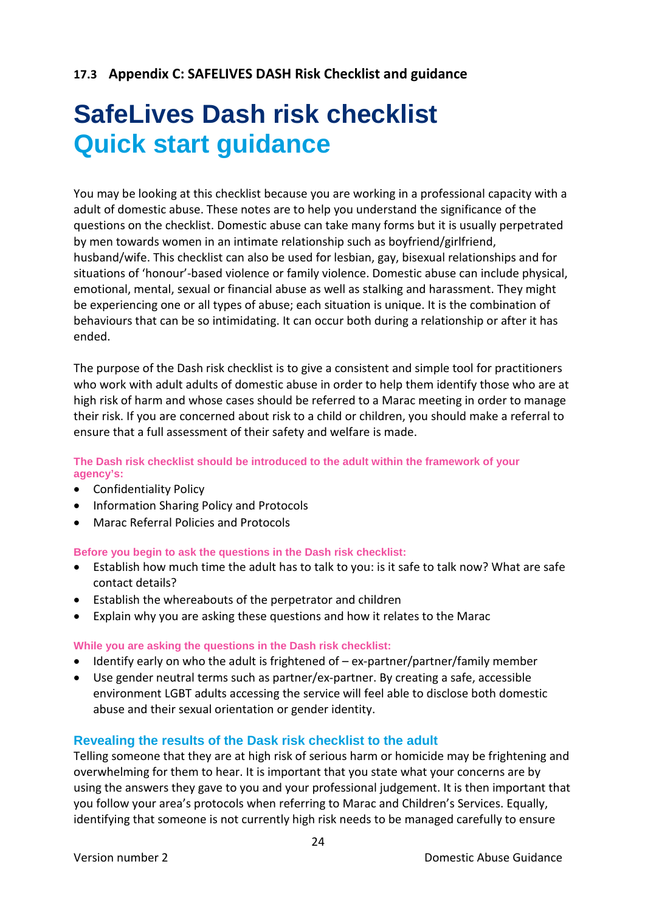# <span id="page-23-0"></span>**17.3 Appendix C: SAFELIVES DASH Risk Checklist and guidance**

# **SafeLives Dash risk checklist Quick start guidance**

You may be looking at this checklist because you are working in a professional capacity with a adult of domestic abuse. These notes are to help you understand the significance of the questions on the checklist. Domestic abuse can take many forms but it is usually perpetrated by men towards women in an intimate relationship such as boyfriend/girlfriend, husband/wife. This checklist can also be used for lesbian, gay, bisexual relationships and for situations of 'honour'-based violence or family violence. Domestic abuse can include physical, emotional, mental, sexual or financial abuse as well as stalking and harassment. They might be experiencing one or all types of abuse; each situation is unique. It is the combination of behaviours that can be so intimidating. It can occur both during a relationship or after it has ended.

The purpose of the Dash risk checklist is to give a consistent and simple tool for practitioners who work with adult adults of domestic abuse in order to help them identify those who are at high risk of harm and whose cases should be referred to a Marac meeting in order to manage their risk. If you are concerned about risk to a child or children, you should make a referral to ensure that a full assessment of their safety and welfare is made.

#### **The Dash risk checklist should be introduced to the adult within the framework of your agency's:**

- Confidentiality Policy
- Information Sharing Policy and Protocols
- Marac Referral Policies and Protocols

**Before you begin to ask the questions in the Dash risk checklist:**

- Establish how much time the adult has to talk to you: is it safe to talk now? What are safe contact details?
- Establish the whereabouts of the perpetrator and children
- Explain why you are asking these questions and how it relates to the Marac

#### **While you are asking the questions in the Dash risk checklist:**

- Identify early on who the adult is frightened of ex-partner/partner/family member
- Use gender neutral terms such as partner/ex-partner. By creating a safe, accessible environment LGBT adults accessing the service will feel able to disclose both domestic abuse and their sexual orientation or gender identity.

#### **Revealing the results of the Dask risk checklist to the adult**

Telling someone that they are at high risk of serious harm or homicide may be frightening and overwhelming for them to hear. It is important that you state what your concerns are by using the answers they gave to you and your professional judgement. It is then important that you follow your area's protocols when referring to Marac and Children's Services. Equally, identifying that someone is not currently high risk needs to be managed carefully to ensure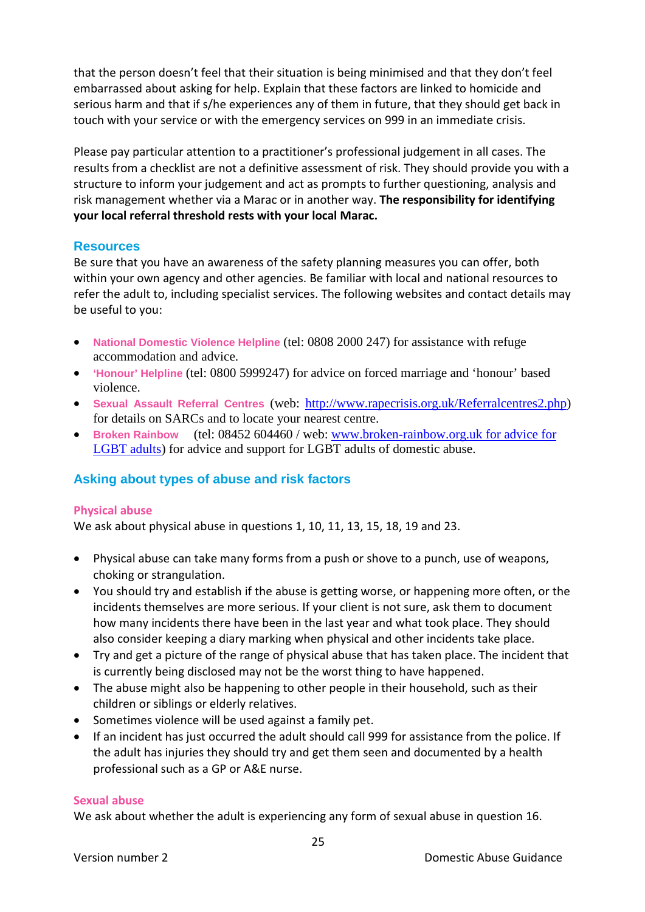that the person doesn't feel that their situation is being minimised and that they don't feel embarrassed about asking for help. Explain that these factors are linked to homicide and serious harm and that if s/he experiences any of them in future, that they should get back in touch with your service or with the emergency services on 999 in an immediate crisis.

Please pay particular attention to a practitioner's professional judgement in all cases. The results from a checklist are not a definitive assessment of risk. They should provide you with a structure to inform your judgement and act as prompts to further questioning, analysis and risk management whether via a Marac or in another way. **The responsibility for identifying your local referral threshold rests with your local Marac.** 

#### **Resources**

Be sure that you have an awareness of the safety planning measures you can offer, both within your own agency and other agencies. Be familiar with local and national resources to refer the adult to, including specialist services. The following websites and contact details may be useful to you:

- **National Domestic Violence Helpline** (tel: 0808 2000 247) for assistance with refuge accommodation and advice.
- **'Honour' Helpline** (tel: 0800 5999247) for advice on forced marriage and 'honour' based violence.
- **Sexual Assault Referral Centres** (web: [http://www.rapecrisis.org.uk/Referralcentres2.php\)](http://www.rapecrisis.org.uk/Referralcentres2.php) for details on SARCs and to locate your nearest centre.
- **Broken Rainbow** (tel: 08452 604460 / web: www.broken-rainbow.org.uk for advice for LGBT adults) for advice and support for LGBT adults of domestic abuse.

# **Asking about types of abuse and risk factors**

#### **Physical abuse**

We ask about physical abuse in questions 1, 10, 11, 13, 15, 18, 19 and 23.

- Physical abuse can take many forms from a push or shove to a punch, use of weapons, choking or strangulation.
- You should try and establish if the abuse is getting worse, or happening more often, or the incidents themselves are more serious. If your client is not sure, ask them to document how many incidents there have been in the last year and what took place. They should also consider keeping a diary marking when physical and other incidents take place.
- Try and get a picture of the range of physical abuse that has taken place. The incident that is currently being disclosed may not be the worst thing to have happened.
- The abuse might also be happening to other people in their household, such as their children or siblings or elderly relatives.
- Sometimes violence will be used against a family pet.
- If an incident has just occurred the adult should call 999 for assistance from the police. If the adult has injuries they should try and get them seen and documented by a health professional such as a GP or A&E nurse.

#### **Sexual abuse**

We ask about whether the adult is experiencing any form of sexual abuse in question 16.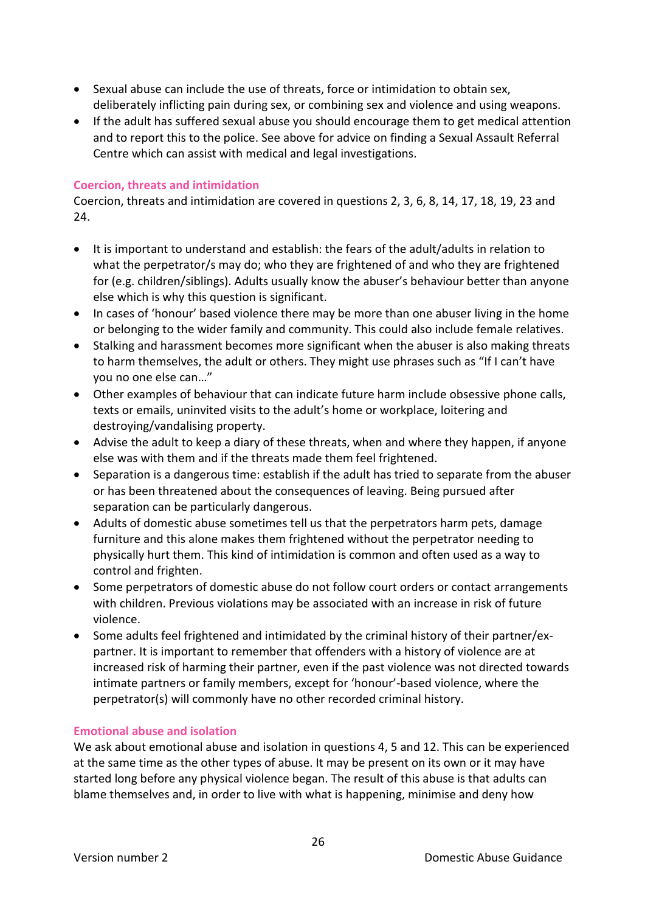- Sexual abuse can include the use of threats, force or intimidation to obtain sex, deliberately inflicting pain during sex, or combining sex and violence and using weapons.
- If the adult has suffered sexual abuse you should encourage them to get medical attention and to report this to the police. See above for advice on finding a Sexual Assault Referral Centre which can assist with medical and legal investigations.

#### **Coercion, threats and intimidation**

Coercion, threats and intimidation are covered in questions 2, 3, 6, 8, 14, 17, 18, 19, 23 and 24.

- It is important to understand and establish: the fears of the adult/adults in relation to what the perpetrator/s may do; who they are frightened of and who they are frightened for (e.g. children/siblings). Adults usually know the abuser's behaviour better than anyone else which is why this question is significant.
- In cases of 'honour' based violence there may be more than one abuser living in the home or belonging to the wider family and community. This could also include female relatives.
- Stalking and harassment becomes more significant when the abuser is also making threats to harm themselves, the adult or others. They might use phrases such as "If I can't have you no one else can…"
- Other examples of behaviour that can indicate future harm include obsessive phone calls, texts or emails, uninvited visits to the adult's home or workplace, loitering and destroying/vandalising property.
- Advise the adult to keep a diary of these threats, when and where they happen, if anyone else was with them and if the threats made them feel frightened.
- Separation is a dangerous time: establish if the adult has tried to separate from the abuser or has been threatened about the consequences of leaving. Being pursued after separation can be particularly dangerous.
- Adults of domestic abuse sometimes tell us that the perpetrators harm pets, damage furniture and this alone makes them frightened without the perpetrator needing to physically hurt them. This kind of intimidation is common and often used as a way to control and frighten.
- Some perpetrators of domestic abuse do not follow court orders or contact arrangements with children. Previous violations may be associated with an increase in risk of future violence.
- Some adults feel frightened and intimidated by the criminal history of their partner/expartner. It is important to remember that offenders with a history of violence are at increased risk of harming their partner, even if the past violence was not directed towards intimate partners or family members, except for 'honour'-based violence, where the perpetrator(s) will commonly have no other recorded criminal history.

#### **Emotional abuse and isolation**

We ask about emotional abuse and isolation in questions 4, 5 and 12. This can be experienced at the same time as the other types of abuse. It may be present on its own or it may have started long before any physical violence began. The result of this abuse is that adults can blame themselves and, in order to live with what is happening, minimise and deny how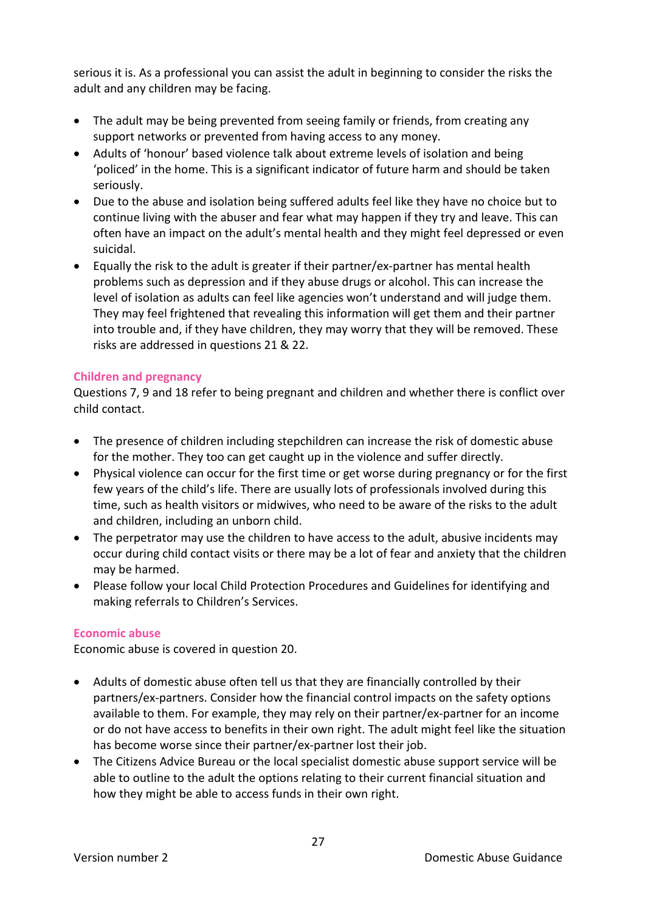serious it is. As a professional you can assist the adult in beginning to consider the risks the adult and any children may be facing.

- The adult may be being prevented from seeing family or friends, from creating any support networks or prevented from having access to any money.
- Adults of 'honour' based violence talk about extreme levels of isolation and being 'policed' in the home. This is a significant indicator of future harm and should be taken seriously.
- Due to the abuse and isolation being suffered adults feel like they have no choice but to continue living with the abuser and fear what may happen if they try and leave. This can often have an impact on the adult's mental health and they might feel depressed or even suicidal.
- Equally the risk to the adult is greater if their partner/ex-partner has mental health problems such as depression and if they abuse drugs or alcohol. This can increase the level of isolation as adults can feel like agencies won't understand and will judge them. They may feel frightened that revealing this information will get them and their partner into trouble and, if they have children, they may worry that they will be removed. These risks are addressed in questions 21 & 22.

#### **Children and pregnancy**

Questions 7, 9 and 18 refer to being pregnant and children and whether there is conflict over child contact.

- The presence of children including stepchildren can increase the risk of domestic abuse for the mother. They too can get caught up in the violence and suffer directly.
- Physical violence can occur for the first time or get worse during pregnancy or for the first few years of the child's life. There are usually lots of professionals involved during this time, such as health visitors or midwives, who need to be aware of the risks to the adult and children, including an unborn child.
- The perpetrator may use the children to have access to the adult, abusive incidents may occur during child contact visits or there may be a lot of fear and anxiety that the children may be harmed.
- Please follow your local Child Protection Procedures and Guidelines for identifying and making referrals to Children's Services.

#### **Economic abuse**

Economic abuse is covered in question 20.

- Adults of domestic abuse often tell us that they are financially controlled by their partners/ex-partners. Consider how the financial control impacts on the safety options available to them. For example, they may rely on their partner/ex-partner for an income or do not have access to benefits in their own right. The adult might feel like the situation has become worse since their partner/ex-partner lost their job.
- The Citizens Advice Bureau or the local specialist domestic abuse support service will be able to outline to the adult the options relating to their current financial situation and how they might be able to access funds in their own right.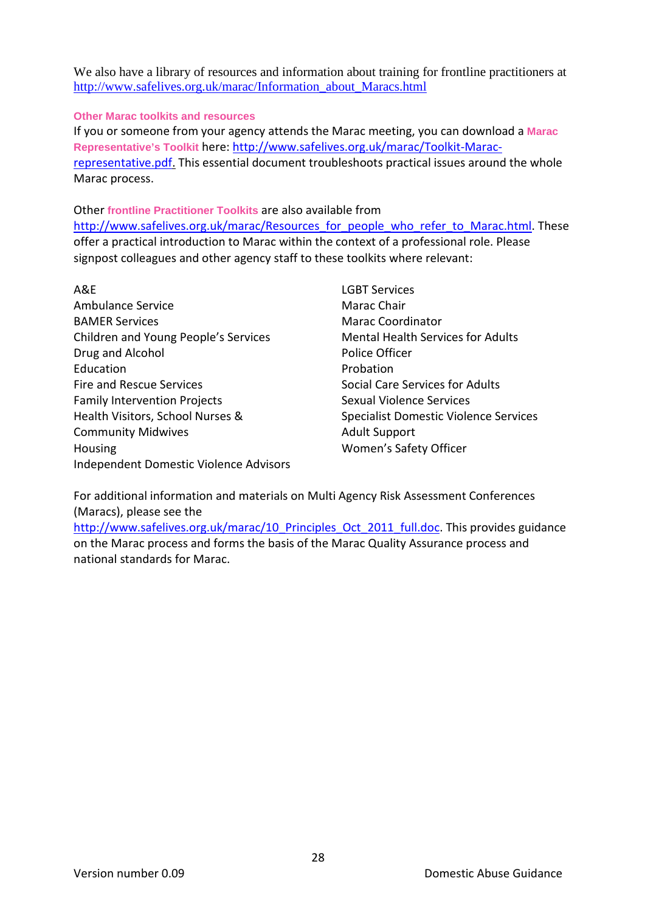We also have a library of resources and information about training for frontline practitioners at [http://www.safelives.org.uk/marac/Information\\_about\\_Maracs.html](http://www.caada.org.uk/marac/Information_about_MARACs.html)

**Other Marac toolkits and resources** 

If you or someone from your agency attends the Marac meeting, you can download a **Marac Representative's Toolkit** here[: http://www.safelives.org.uk/marac/Toolkit-Marac](http://www.caada.org.uk/marac/Toolkit-MARAC-representative.pdf)[representative.pdf.](http://www.caada.org.uk/marac/Toolkit-MARAC-representative.pdf) This essential document troubleshoots practical issues around the whole Marac process.

Other **frontline Practitioner Toolkits** are also available from http://www.safelives.org.uk/marac/Resources for people who refer to Marac.html. These offer a practical introduction to Marac within the context of a professional role. Please signpost colleagues and other agency staff to these toolkits where relevant:

- A&E Ambulance Service BAMER Services Children and Young People's Services Drug and Alcohol Education Fire and Rescue Services Family Intervention Projects Health Visitors, School Nurses & Community Midwives Housing Independent Domestic Violence Advisors
- LGBT Services Marac Chair Marac Coordinator Mental Health Services for Adults Police Officer Probation Social Care Services for Adults Sexual Violence Services Specialist Domestic Violence Services Adult Support Women's Safety Officer

For additional information and materials on Multi Agency Risk Assessment Conferences (Maracs), please see the

http://www.safelives.org.uk/marac/10 Principles Oct 2011 full.doc. This provides guidance on the Marac process and forms the basis of the Marac Quality Assurance process and national standards for Marac.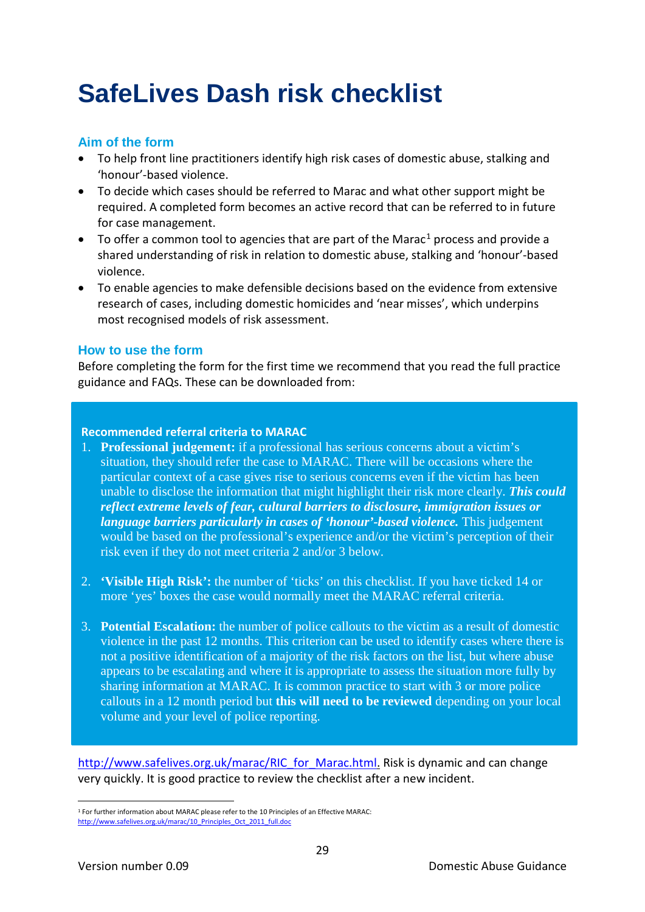# **SafeLives Dash risk checklist**

# **Aim of the form**

- To help front line practitioners identify high risk cases of domestic abuse, stalking and 'honour'-based violence.
- To decide which cases should be referred to Marac and what other support might be required. A completed form becomes an active record that can be referred to in future for case management.
- To offer a common tool to agencies that are part of the Marac<sup>[1](#page-28-0)</sup> process and provide a shared understanding of risk in relation to domestic abuse, stalking and 'honour'-based violence.
- To enable agencies to make defensible decisions based on the evidence from extensive research of cases, including domestic homicides and 'near misses', which underpins most recognised models of risk assessment.

## **How to use the form**

Before completing the form for the first time we recommend that you read the full practice guidance and FAQs. These can be downloaded from:

#### **Recommended referral criteria to MARAC**

- 1. **Professional judgement:** if a professional has serious concerns about a victim's situation, they should refer the case to MARAC. There will be occasions where the particular context of a case gives rise to serious concerns even if the victim has been unable to disclose the information that might highlight their risk more clearly. *This could reflect extreme levels of fear, cultural barriers to disclosure, immigration issues or language barriers particularly in cases of 'honour'-based violence.* This judgement would be based on the professional's experience and/or the victim's perception of their risk even if they do not meet criteria 2 and/or 3 below.
- 2. **'Visible High Risk':** the number of 'ticks' on this checklist. If you have ticked 14 or more 'yes' boxes the case would normally meet the MARAC referral criteria.
- 3. **Potential Escalation:** the number of police callouts to the victim as a result of domestic violence in the past 12 months. This criterion can be used to identify cases where there is not a positive identification of a majority of the risk factors on the list, but where abuse appears to be escalating and where it is appropriate to assess the situation more fully by sharing information at MARAC. It is common practice to start with 3 or more police callouts in a 12 month period but **this will need to be reviewed** depending on your local volume and your level of police reporting.

[http://www.safelives.org.uk/marac/RIC\\_for\\_Marac.html.](http://www.caada.org.uk/marac/RIC_for_MARAC.html) Risk is dynamic and can change very quickly. It is good practice to review the checklist after a new incident.

<span id="page-28-0"></span><sup>1</sup> For further information about MARAC please refer to the 10 Principles of an Effective MARAC: [http://www.safelives.org.uk/marac/10\\_Principles\\_Oct\\_2011\\_full.doc](http://www.safelives.org.uk/marac/10_Principles_Oct_2011_full.doc) 1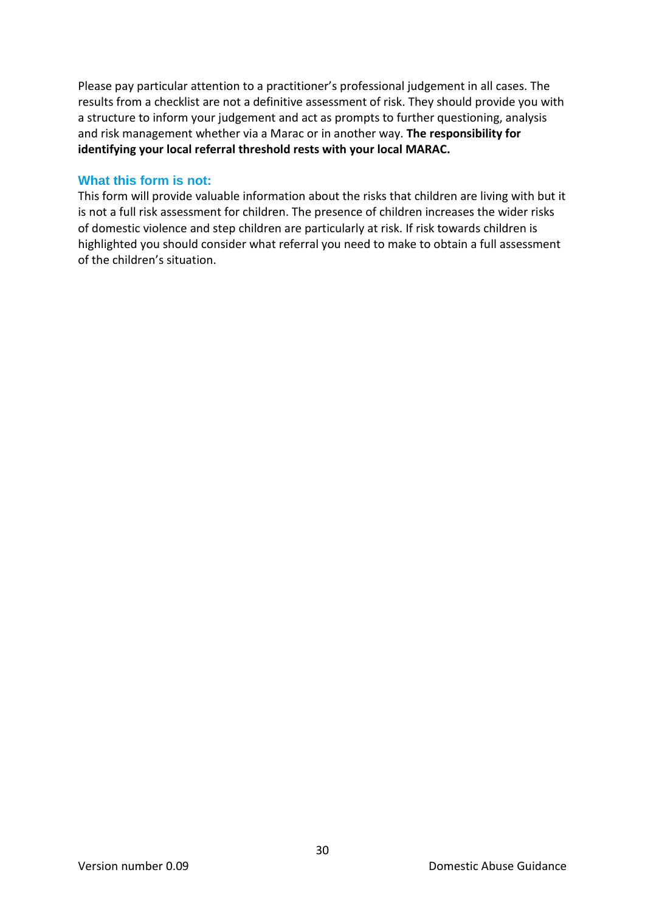Please pay particular attention to a practitioner's professional judgement in all cases. The results from a checklist are not a definitive assessment of risk. They should provide you with a structure to inform your judgement and act as prompts to further questioning, analysis and risk management whether via a Marac or in another way. **The responsibility for identifying your local referral threshold rests with your local MARAC.** 

#### **What this form is not:**

This form will provide valuable information about the risks that children are living with but it is not a full risk assessment for children. The presence of children increases the wider risks of domestic violence and step children are particularly at risk. If risk towards children is highlighted you should consider what referral you need to make to obtain a full assessment of the children's situation.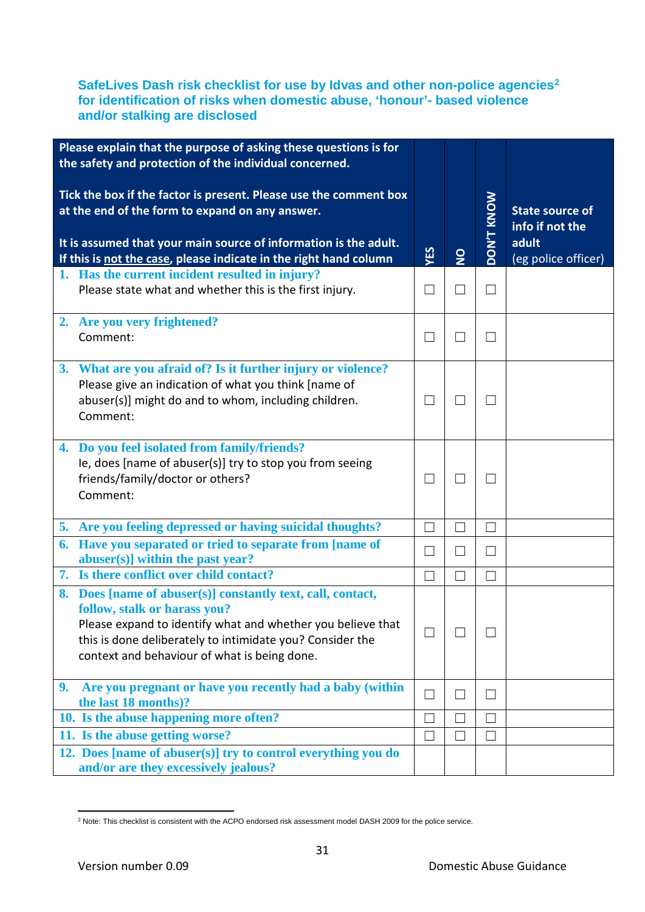#### **SafeLives Dash risk checklist for use by Idvas and other non-police agencies[2](#page-30-0) for identification of risks when domestic abuse, 'honour'- based violence and/or stalking are disclosed**

| Please explain that the purpose of asking these questions is for                                                                                                                                                                                                        |                |                          |                   |                                                                           |
|-------------------------------------------------------------------------------------------------------------------------------------------------------------------------------------------------------------------------------------------------------------------------|----------------|--------------------------|-------------------|---------------------------------------------------------------------------|
| the safety and protection of the individual concerned.                                                                                                                                                                                                                  |                |                          |                   |                                                                           |
| Tick the box if the factor is present. Please use the comment box<br>at the end of the form to expand on any answer.<br>It is assumed that your main source of information is the adult.<br>If this is not the case, please indicate in the right hand column           | YES            | $\frac{1}{2}$            | <b>MON/L KNOW</b> | <b>State source of</b><br>info if not the<br>adult<br>(eg police officer) |
| 1. Has the current incident resulted in injury?<br>Please state what and whether this is the first injury.                                                                                                                                                              | $\blacksquare$ | $\Box$                   | $\perp$           |                                                                           |
| 2. Are you very frightened?<br>Comment:                                                                                                                                                                                                                                 | ┓              | $\Box$                   | $\mathcal{A}$     |                                                                           |
| 3. What are you afraid of? Is it further injury or violence?<br>Please give an indication of what you think [name of<br>abuser(s)] might do and to whom, including children.<br>Comment:                                                                                | П              | $\Box$                   | $\perp$           |                                                                           |
| 4. Do you feel isolated from family/friends?<br>Ie, does [name of abuser(s)] try to stop you from seeing<br>friends/family/doctor or others?<br>Comment:                                                                                                                | $\blacksquare$ | $\Box$                   |                   |                                                                           |
| 5. Are you feeling depressed or having suicidal thoughts?                                                                                                                                                                                                               | $\Box$         | $\Box$                   | $\Box$            |                                                                           |
| 6. Have you separated or tried to separate from [name of<br>abuser(s)] within the past year?                                                                                                                                                                            | ┓              | $\overline{\phantom{0}}$ |                   |                                                                           |
| 7. Is there conflict over child contact?                                                                                                                                                                                                                                | П              | $\Box$                   | П                 |                                                                           |
| 8. Does [name of abuser(s)] constantly text, call, contact,<br>follow, stalk or harass you?<br>Please expand to identify what and whether you believe that<br>this is done deliberately to intimidate you? Consider the<br>context and behaviour of what is being done. |                | ×                        |                   |                                                                           |
| Are you pregnant or have you recently had a baby (within<br>9.<br>the last 18 months)?                                                                                                                                                                                  | $\blacksquare$ | $\Box$                   | ┓                 |                                                                           |
| 10. Is the abuse happening more often?                                                                                                                                                                                                                                  | $\blacksquare$ | $\Box$                   |                   |                                                                           |
| 11. Is the abuse getting worse?                                                                                                                                                                                                                                         |                | $\mathcal{L}$            |                   |                                                                           |
| 12. Does [name of abuser(s)] try to control everything you do<br>and/or are they excessively jealous?                                                                                                                                                                   |                |                          |                   |                                                                           |

<span id="page-30-0"></span><sup>&</sup>lt;sup>2</sup> Note: This checklist is consistent with the ACPO endorsed risk assessment model DASH 2009 for the police service. 1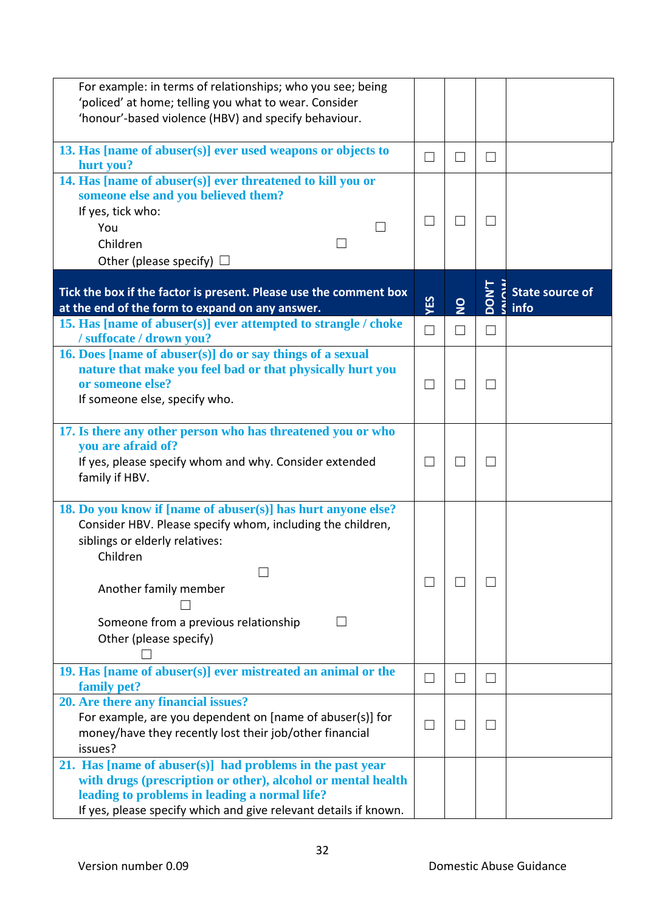| For example: in terms of relationships; who you see; being                                                                                                                 |                          |                |                          |                                                                      |
|----------------------------------------------------------------------------------------------------------------------------------------------------------------------------|--------------------------|----------------|--------------------------|----------------------------------------------------------------------|
| 'policed' at home; telling you what to wear. Consider                                                                                                                      |                          |                |                          |                                                                      |
| 'honour'-based violence (HBV) and specify behaviour.                                                                                                                       |                          |                |                          |                                                                      |
| 13. Has [name of abuser(s)] ever used weapons or objects to<br>hurt you?                                                                                                   | $\mathcal{L}$            | $\Box$         | $\vert \ \ \vert$        |                                                                      |
| 14. Has [name of abuser(s)] ever threatened to kill you or<br>someone else and you believed them?                                                                          |                          |                |                          |                                                                      |
| If yes, tick who:                                                                                                                                                          |                          |                |                          |                                                                      |
| You                                                                                                                                                                        |                          |                |                          |                                                                      |
| Children                                                                                                                                                                   |                          |                |                          |                                                                      |
| Other (please specify) $\Box$                                                                                                                                              |                          |                |                          |                                                                      |
| Tick the box if the factor is present. Please use the comment box                                                                                                          |                          |                |                          | $\overline{z}$ State source of<br>$\overline{Q}$ $\overline{z}$ info |
| at the end of the form to expand on any answer.                                                                                                                            | YES                      | $\overline{2}$ |                          |                                                                      |
| 15. Has [name of abuser(s)] ever attempted to strangle / choke<br>/suffocate/drown you?                                                                                    | $\Box$                   | $\Box$         | П                        |                                                                      |
| 16. Does [name of abuser(s)] do or say things of a sexual<br>nature that make you feel bad or that physically hurt you<br>or someone else?                                 | $\Box$                   | $\Box$         | $\mathcal{L}$            |                                                                      |
| If someone else, specify who.                                                                                                                                              |                          |                |                          |                                                                      |
| 17. Is there any other person who has threatened you or who<br>you are afraid of?                                                                                          |                          |                |                          |                                                                      |
| If yes, please specify whom and why. Consider extended<br>family if HBV.                                                                                                   | $\Box$                   | $\Box$         | $\overline{\phantom{a}}$ |                                                                      |
| 18. Do you know if [name of abuser(s)] has hurt anyone else?<br>Consider HBV. Please specify whom, including the children,<br>siblings or elderly relatives:<br>Children   |                          |                |                          |                                                                      |
| Another family member                                                                                                                                                      | $\blacksquare$           | ×.             |                          |                                                                      |
| Someone from a previous relationship<br>Other (please specify)                                                                                                             |                          |                |                          |                                                                      |
| 19. Has [name of abuser(s)] ever mistreated an animal or the<br>family pet?                                                                                                | $\overline{\phantom{0}}$ | $\Box$         | ⊔                        |                                                                      |
| 20. Are there any financial issues?                                                                                                                                        |                          |                |                          |                                                                      |
| For example, are you dependent on [name of abuser(s)] for<br>money/have they recently lost their job/other financial                                                       | $\Box$                   | $\Box$         | $\overline{\phantom{0}}$ |                                                                      |
| issues?                                                                                                                                                                    |                          |                |                          |                                                                      |
| 21. Has [name of abuser(s)] had problems in the past year<br>with drugs (prescription or other), alcohol or mental health<br>leading to problems in leading a normal life? |                          |                |                          |                                                                      |
| If yes, please specify which and give relevant details if known.                                                                                                           |                          |                |                          |                                                                      |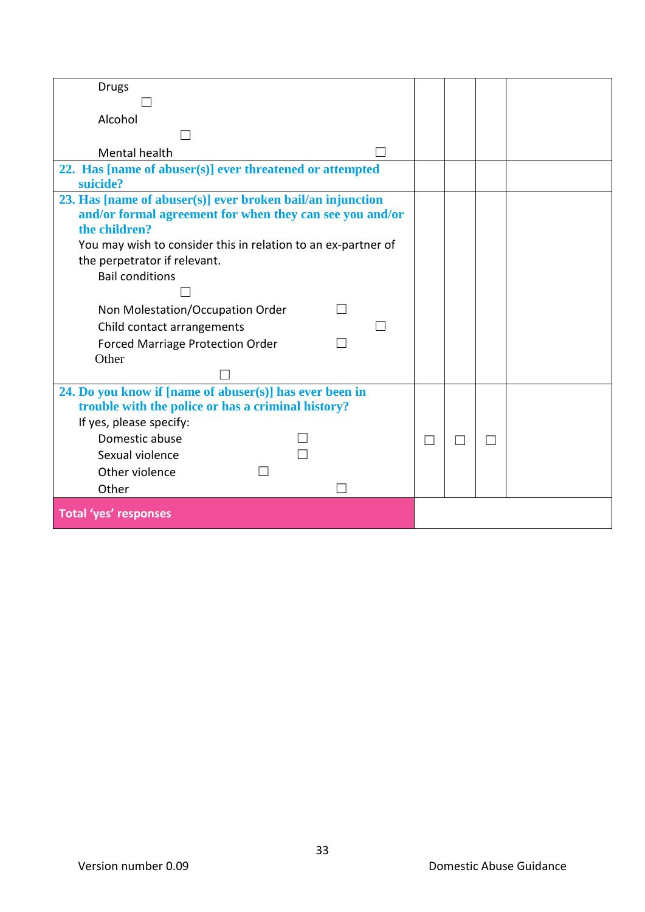| <b>Drugs</b>                                                  |                |        |  |
|---------------------------------------------------------------|----------------|--------|--|
|                                                               |                |        |  |
| Alcohol                                                       |                |        |  |
|                                                               |                |        |  |
| Mental health                                                 |                |        |  |
| 22. Has [name of abuser(s)] ever threatened or attempted      |                |        |  |
| suicide?                                                      |                |        |  |
| 23. Has [name of abuser(s)] ever broken bail/an injunction    |                |        |  |
| and/or formal agreement for when they can see you and/or      |                |        |  |
| the children?                                                 |                |        |  |
| You may wish to consider this in relation to an ex-partner of |                |        |  |
| the perpetrator if relevant.                                  |                |        |  |
| <b>Bail conditions</b>                                        |                |        |  |
|                                                               |                |        |  |
| Non Molestation/Occupation Order                              |                |        |  |
| Child contact arrangements                                    |                |        |  |
| <b>Forced Marriage Protection Order</b>                       |                |        |  |
| Other                                                         |                |        |  |
|                                                               |                |        |  |
| 24. Do you know if [name of abuser(s)] has ever been in       |                |        |  |
| trouble with the police or has a criminal history?            |                |        |  |
| If yes, please specify:                                       |                |        |  |
| Domestic abuse                                                | $\blacksquare$ | $\Box$ |  |
| Sexual violence                                               |                |        |  |
| Other violence                                                |                |        |  |
| Other                                                         |                |        |  |
| <b>Total 'yes' responses</b>                                  |                |        |  |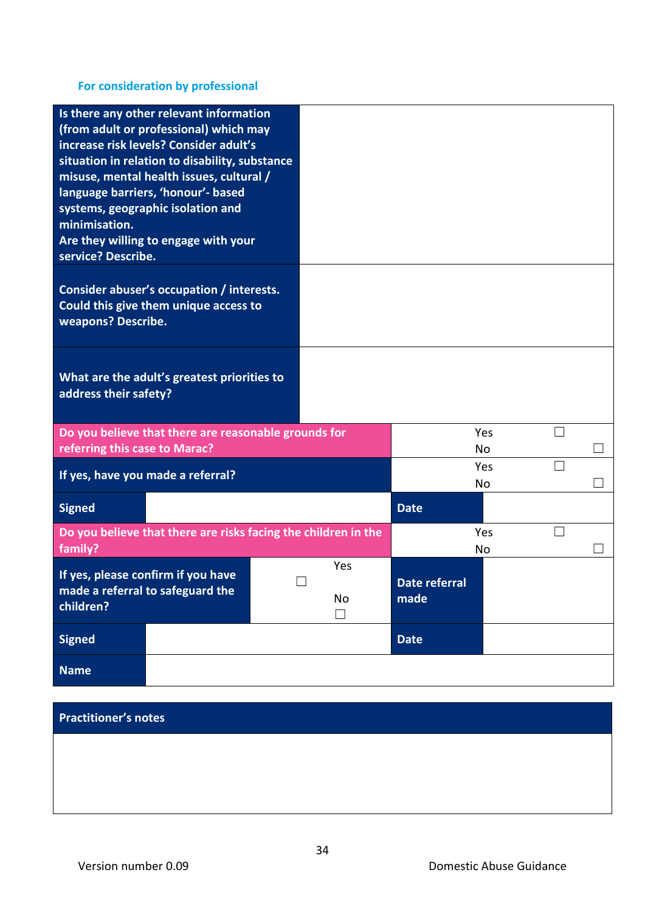# **For consideration by professional**

| minimisation.<br>service? Describe. | Is there any other relevant information<br>(from adult or professional) which may<br>increase risk levels? Consider adult's<br>situation in relation to disability, substance<br>misuse, mental health issues, cultural /<br>language barriers, 'honour'- based<br>systems, geographic isolation and<br>Are they willing to engage with your |  |                     |                              |                  |        |  |
|-------------------------------------|----------------------------------------------------------------------------------------------------------------------------------------------------------------------------------------------------------------------------------------------------------------------------------------------------------------------------------------------|--|---------------------|------------------------------|------------------|--------|--|
| weapons? Describe.                  | Consider abuser's occupation / interests.<br>Could this give them unique access to                                                                                                                                                                                                                                                           |  |                     |                              |                  |        |  |
| address their safety?               | What are the adult's greatest priorities to                                                                                                                                                                                                                                                                                                  |  |                     |                              |                  |        |  |
| referring this case to Marac?       | Do you believe that there are reasonable grounds for                                                                                                                                                                                                                                                                                         |  |                     |                              | Yes<br><b>No</b> | $\Box$ |  |
|                                     | If yes, have you made a referral?                                                                                                                                                                                                                                                                                                            |  |                     |                              | Yes<br><b>No</b> | П      |  |
| <b>Signed</b>                       |                                                                                                                                                                                                                                                                                                                                              |  |                     | <b>Date</b>                  |                  |        |  |
| family?                             | Do you believe that there are risks facing the children in the                                                                                                                                                                                                                                                                               |  |                     |                              | Yes<br>No        |        |  |
| children?                           | If yes, please confirm if you have<br>made a referral to safeguard the                                                                                                                                                                                                                                                                       |  | Yes<br>No<br>$\Box$ | <b>Date referral</b><br>made |                  |        |  |
| <b>Signed</b>                       |                                                                                                                                                                                                                                                                                                                                              |  |                     | <b>Date</b>                  |                  |        |  |
| <b>Name</b>                         |                                                                                                                                                                                                                                                                                                                                              |  |                     |                              |                  |        |  |

# **Practitioner's notes**